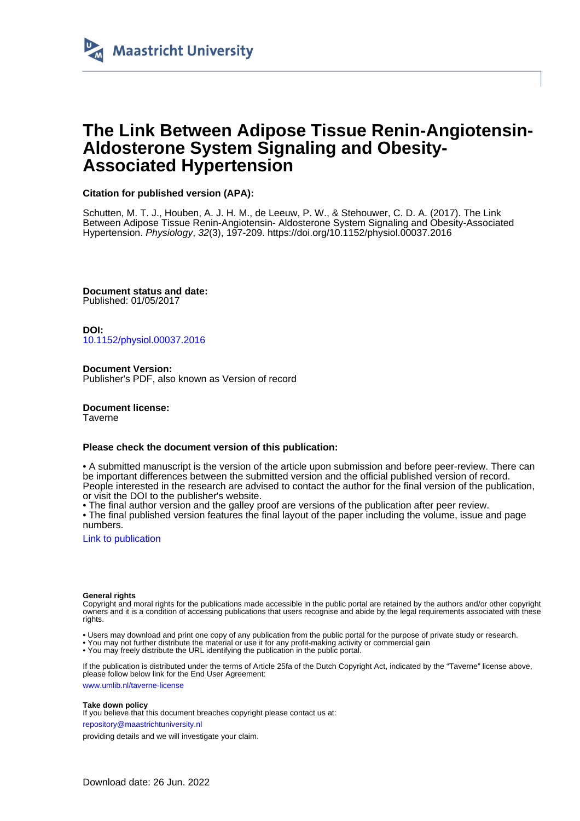

### **The Link Between Adipose Tissue Renin-Angiotensin-Aldosterone System Signaling and Obesity-Associated Hypertension**

### **Citation for published version (APA):**

Schutten, M. T. J., Houben, A. J. H. M., de Leeuw, P. W., & Stehouwer, C. D. A. (2017). The Link Between Adipose Tissue Renin-Angiotensin- Aldosterone System Signaling and Obesity-Associated Hypertension. Physiology, 32(3), 197-209. <https://doi.org/10.1152/physiol.00037.2016>

**Document status and date:** Published: 01/05/2017

**DOI:** [10.1152/physiol.00037.2016](https://doi.org/10.1152/physiol.00037.2016)

**Document Version:** Publisher's PDF, also known as Version of record

**Document license:** Taverne

#### **Please check the document version of this publication:**

• A submitted manuscript is the version of the article upon submission and before peer-review. There can be important differences between the submitted version and the official published version of record. People interested in the research are advised to contact the author for the final version of the publication, or visit the DOI to the publisher's website.

• The final author version and the galley proof are versions of the publication after peer review.

• The final published version features the final layout of the paper including the volume, issue and page numbers.

[Link to publication](https://cris.maastrichtuniversity.nl/en/publications/3d6e44da-d04a-4d9c-9aa6-a22a0985f6c6)

#### **General rights**

Copyright and moral rights for the publications made accessible in the public portal are retained by the authors and/or other copyright owners and it is a condition of accessing publications that users recognise and abide by the legal requirements associated with these rights.

• Users may download and print one copy of any publication from the public portal for the purpose of private study or research.

• You may not further distribute the material or use it for any profit-making activity or commercial gain

• You may freely distribute the URL identifying the publication in the public portal

If the publication is distributed under the terms of Article 25fa of the Dutch Copyright Act, indicated by the "Taverne" license above, please follow below link for the End User Agreement:

www.umlib.nl/taverne-license

#### **Take down policy**

If you believe that this document breaches copyright please contact us at:

repository@maastrichtuniversity.nl

providing details and we will investigate your claim.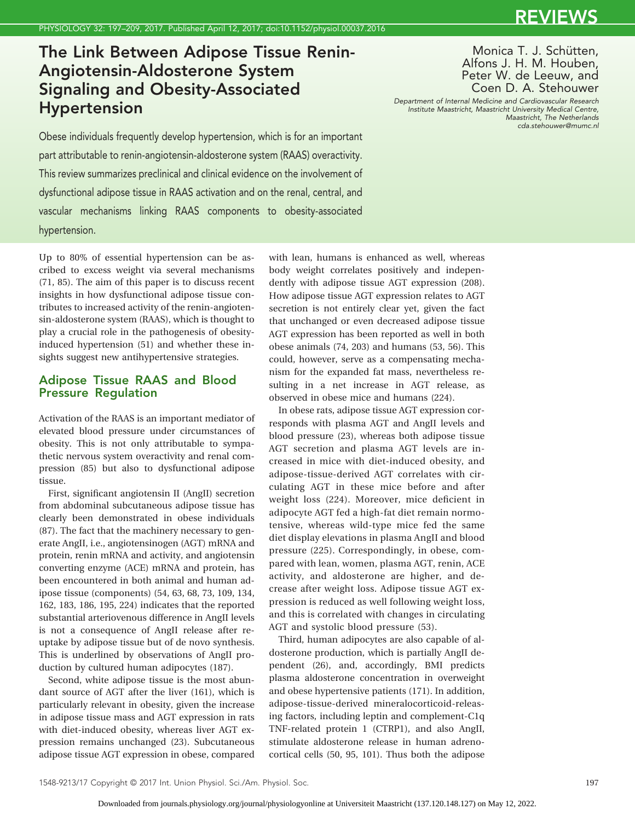## The Link Between Adipose Tissue Renin-Angiotensin-Aldosterone System Signaling and Obesity-Associated Hypertension

Monica T. J. Schütten, Alfons J. H. M. Houben, Peter W. de Leeuw, and Coen D. A. Stehouwer

*Department of Internal Medicine and Cardiovascular Research Institute Maastricht, Maastricht University Medical Centre, Maastricht, The Netherlands cda.stehouwer@mumc.nl*

Obese individuals frequently develop hypertension, which is for an important part attributable to renin-angiotensin-aldosterone system (RAAS) overactivity. This review summarizes preclinical and clinical evidence on the involvement of dysfunctional adipose tissue in RAAS activation and on the renal, central, and vascular mechanisms linking RAAS components to obesity-associated hypertension.

Up to 80% of essential hypertension can be ascribed to excess weight via several mechanisms (71, 85). The aim of this paper is to discuss recent insights in how dysfunctional adipose tissue contributes to increased activity of the renin-angiotensin-aldosterone system (RAAS), which is thought to play a crucial role in the pathogenesis of obesityinduced hypertension (51) and whether these insights suggest new antihypertensive strategies.

### Adipose Tissue RAAS and Blood Pressure Regulation

Activation of the RAAS is an important mediator of elevated blood pressure under circumstances of obesity. This is not only attributable to sympathetic nervous system overactivity and renal compression (85) but also to dysfunctional adipose tissue.

First, significant angiotensin II (AngII) secretion from abdominal subcutaneous adipose tissue has clearly been demonstrated in obese individuals (87). The fact that the machinery necessary to generate AngII, i.e., angiotensinogen (AGT) mRNA and protein, renin mRNA and activity, and angiotensin converting enzyme (ACE) mRNA and protein, has been encountered in both animal and human adipose tissue (components) (54, 63, 68, 73, 109, 134, 162, 183, 186, 195, 224) indicates that the reported substantial arteriovenous difference in AngII levels is not a consequence of AngII release after reuptake by adipose tissue but of de novo synthesis. This is underlined by observations of AngII production by cultured human adipocytes (187).

Second, white adipose tissue is the most abundant source of AGT after the liver (161), which is particularly relevant in obesity, given the increase in adipose tissue mass and AGT expression in rats with diet-induced obesity, whereas liver AGT expression remains unchanged (23). Subcutaneous adipose tissue AGT expression in obese, compared with lean, humans is enhanced as well, whereas body weight correlates positively and independently with adipose tissue AGT expression (208). How adipose tissue AGT expression relates to AGT secretion is not entirely clear yet, given the fact that unchanged or even decreased adipose tissue AGT expression has been reported as well in both obese animals (74, 203) and humans (53, 56). This could, however, serve as a compensating mechanism for the expanded fat mass, nevertheless resulting in a net increase in AGT release, as observed in obese mice and humans (224).

In obese rats, adipose tissue AGT expression corresponds with plasma AGT and AngII levels and blood pressure (23), whereas both adipose tissue AGT secretion and plasma AGT levels are increased in mice with diet-induced obesity, and adipose-tissue-derived AGT correlates with circulating AGT in these mice before and after weight loss (224). Moreover, mice deficient in adipocyte AGT fed a high-fat diet remain normotensive, whereas wild-type mice fed the same diet display elevations in plasma AngII and blood pressure (225). Correspondingly, in obese, compared with lean, women, plasma AGT, renin, ACE activity, and aldosterone are higher, and decrease after weight loss. Adipose tissue AGT expression is reduced as well following weight loss, and this is correlated with changes in circulating AGT and systolic blood pressure (53).

Third, human adipocytes are also capable of aldosterone production, which is partially AngII dependent (26), and, accordingly, BMI predicts plasma aldosterone concentration in overweight and obese hypertensive patients (171). In addition, adipose-tissue-derived mineralocorticoid-releasing factors, including leptin and complement-C1q TNF-related protein 1 (CTRP1), and also AngII, stimulate aldosterone release in human adrenocortical cells (50, 95, 101). Thus both the adipose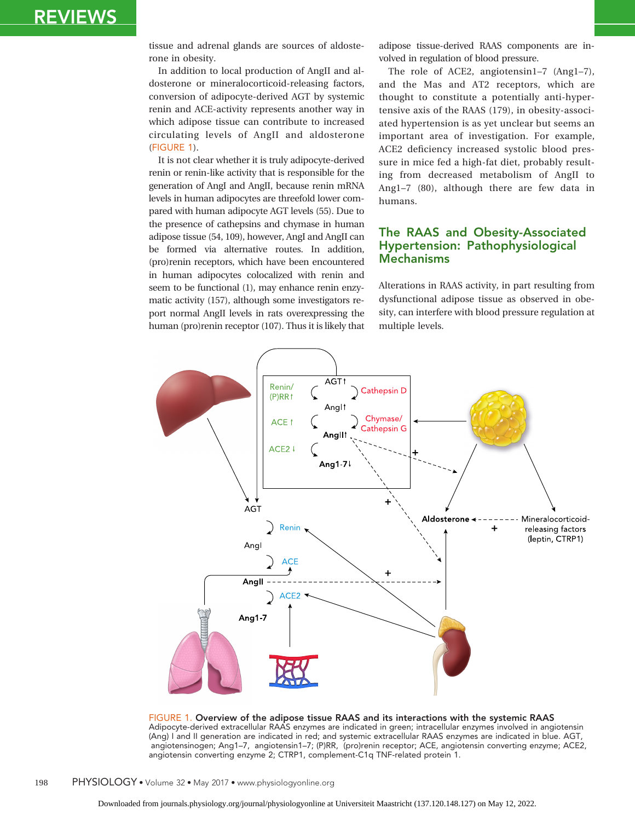tissue and adrenal glands are sources of aldosterone in obesity.

In addition to local production of AngII and aldosterone or mineralocorticoid-releasing factors, conversion of adipocyte-derived AGT by systemic renin and ACE-activity represents another way in which adipose tissue can contribute to increased circulating levels of AngII and aldosterone (FIGURE 1).

It is not clear whether it is truly adipocyte-derived renin or renin-like activity that is responsible for the generation of AngI and AngII, because renin mRNA levels in human adipocytes are threefold lower compared with human adipocyte AGT levels (55). Due to the presence of cathepsins and chymase in human adipose tissue (54, 109), however, AngI and AngII can be formed via alternative routes. In addition, (pro)renin receptors, which have been encountered in human adipocytes colocalized with renin and seem to be functional (1), may enhance renin enzymatic activity (157), although some investigators report normal AngII levels in rats overexpressing the human (pro)renin receptor (107). Thus it is likely that adipose tissue-derived RAAS components are involved in regulation of blood pressure.

The role of ACE2, angiotensin1–7 (Ang1–7), and the Mas and AT2 receptors, which are thought to constitute a potentially anti-hypertensive axis of the RAAS (179), in obesity-associated hypertension is as yet unclear but seems an important area of investigation. For example, ACE2 deficiency increased systolic blood pressure in mice fed a high-fat diet, probably resulting from decreased metabolism of AngII to Ang1–7 (80), although there are few data in humans.

### The RAAS and Obesity-Associated Hypertension: Pathophysiological Mechanisms

Alterations in RAAS activity, in part resulting from dysfunctional adipose tissue as observed in obesity, can interfere with blood pressure regulation at multiple levels.



FIGURE 1. Overview of the adipose tissue RAAS and its interactions with the systemic RAAS Adipocyte-derived extracellular RAAS enzymes are indicated in green; intracellular enzymes involved in angiotensin (Ang) I and II generation are indicated in red; and systemic extracellular RAAS enzymes are indicated in blue. AGT, angiotensinogen; Ang1–7, angiotensin1–7; (P)RR, (pro)renin receptor; ACE, angiotensin converting enzyme; ACE2, angiotensin converting enzyme 2; CTRP1, complement-C1q TNF-related protein 1.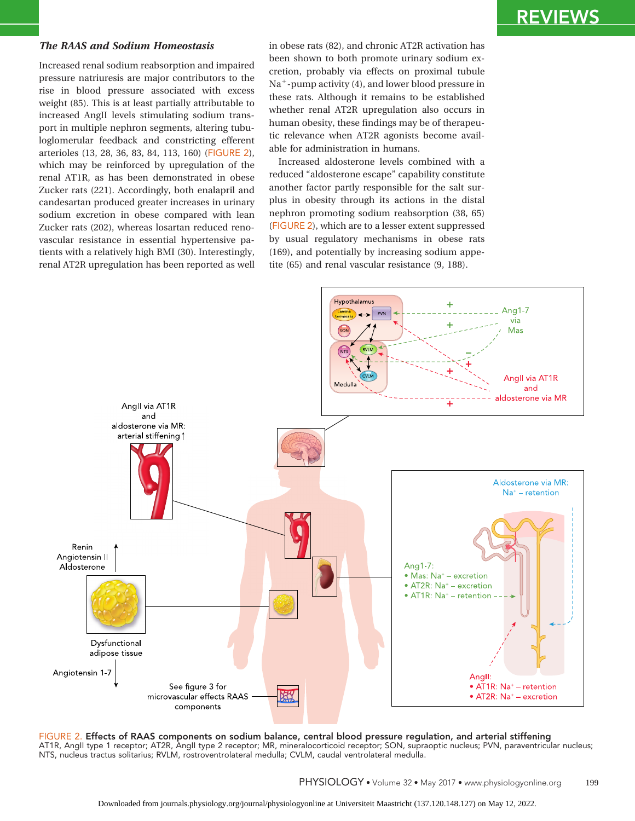#### *The RAAS and Sodium Homeostasis*

Increased renal sodium reabsorption and impaired pressure natriuresis are major contributors to the rise in blood pressure associated with excess weight (85). This is at least partially attributable to increased AngII levels stimulating sodium transport in multiple nephron segments, altering tubuloglomerular feedback and constricting efferent arterioles (13, 28, 36, 83, 84, 113, 160) (FIGURE 2), which may be reinforced by upregulation of the renal AT1R, as has been demonstrated in obese Zucker rats (221). Accordingly, both enalapril and candesartan produced greater increases in urinary sodium excretion in obese compared with lean Zucker rats (202), whereas losartan reduced renovascular resistance in essential hypertensive patients with a relatively high BMI (30). Interestingly, renal AT2R upregulation has been reported as well in obese rats (82), and chronic AT2R activation has been shown to both promote urinary sodium excretion, probably via effects on proximal tubule Na<sup>+</sup>-pump activity (4), and lower blood pressure in these rats. Although it remains to be established whether renal AT2R upregulation also occurs in human obesity, these findings may be of therapeutic relevance when AT2R agonists become available for administration in humans.

Increased aldosterone levels combined with a reduced "aldosterone escape" capability constitute another factor partly responsible for the salt surplus in obesity through its actions in the distal nephron promoting sodium reabsorption (38, 65) (FIGURE 2), which are to a lesser extent suppressed by usual regulatory mechanisms in obese rats (169), and potentially by increasing sodium appetite (65) and renal vascular resistance (9, 188).



FIGURE 2. Effects of RAAS components on sodium balance, central blood pressure regulation, and arterial stiffening AT1R, AngII type 1 receptor; AT2R, AngII type 2 receptor; MR, mineralocorticoid receptor; SON, supraoptic nucleus; PVN, paraventricular nucleus; NTS, nucleus tractus solitarius; RVLM, rostroventrolateral medulla; CVLM, caudal ventrolateral medulla.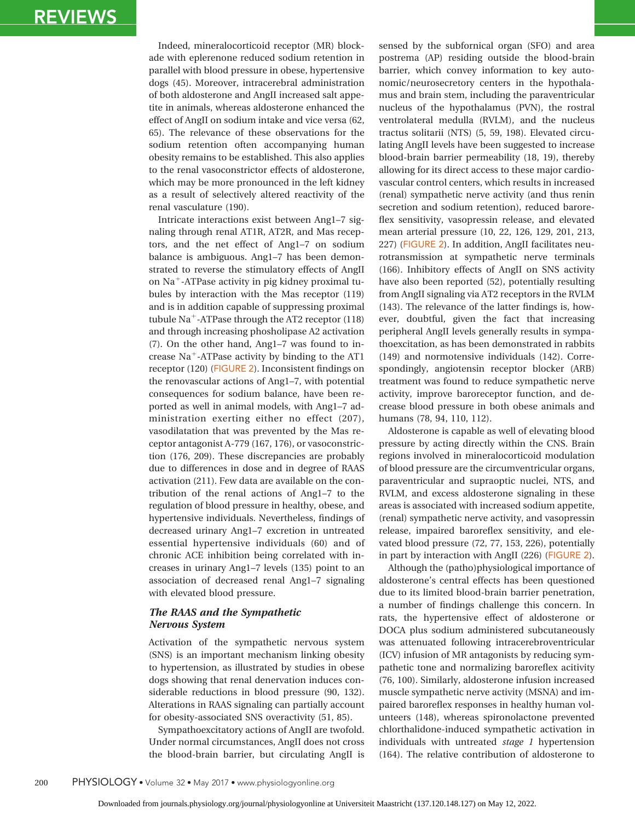Indeed, mineralocorticoid receptor (MR) blockade with eplerenone reduced sodium retention in parallel with blood pressure in obese, hypertensive dogs (45). Moreover, intracerebral administration of both aldosterone and AngII increased salt appetite in animals, whereas aldosterone enhanced the effect of AngII on sodium intake and vice versa (62, 65). The relevance of these observations for the sodium retention often accompanying human obesity remains to be established. This also applies to the renal vasoconstrictor effects of aldosterone, which may be more pronounced in the left kidney as a result of selectively altered reactivity of the renal vasculature (190).

Intricate interactions exist between Ang1–7 signaling through renal AT1R, AT2R, and Mas receptors, and the net effect of Ang1–7 on sodium balance is ambiguous. Ang1–7 has been demonstrated to reverse the stimulatory effects of AngII on Na<sup>+</sup>-ATPase activity in pig kidney proximal tubules by interaction with the Mas receptor (119) and is in addition capable of suppressing proximal tubule Na<sup>+</sup>-ATPase through the AT2 receptor (118) and through increasing phosholipase A2 activation (7). On the other hand, Ang1–7 was found to increase Na<sup>+</sup>-ATPase activity by binding to the AT1 receptor (120) (FIGURE 2). Inconsistent findings on the renovascular actions of Ang1–7, with potential consequences for sodium balance, have been reported as well in animal models, with Ang1–7 administration exerting either no effect (207), vasodilatation that was prevented by the Mas receptor antagonist A-779 (167, 176), or vasoconstriction (176, 209). These discrepancies are probably due to differences in dose and in degree of RAAS activation (211). Few data are available on the contribution of the renal actions of Ang1–7 to the regulation of blood pressure in healthy, obese, and hypertensive individuals. Nevertheless, findings of decreased urinary Ang1–7 excretion in untreated essential hypertensive individuals (60) and of chronic ACE inhibition being correlated with increases in urinary Ang1–7 levels (135) point to an association of decreased renal Ang1–7 signaling with elevated blood pressure.

### *The RAAS and the Sympathetic Nervous System*

Activation of the sympathetic nervous system (SNS) is an important mechanism linking obesity to hypertension, as illustrated by studies in obese dogs showing that renal denervation induces considerable reductions in blood pressure (90, 132). Alterations in RAAS signaling can partially account for obesity-associated SNS overactivity (51, 85).

Sympathoexcitatory actions of AngII are twofold. Under normal circumstances, AngII does not cross the blood-brain barrier, but circulating AngII is sensed by the subfornical organ (SFO) and area postrema (AP) residing outside the blood-brain barrier, which convey information to key autonomic/neurosecretory centers in the hypothalamus and brain stem, including the paraventricular nucleus of the hypothalamus (PVN), the rostral ventrolateral medulla (RVLM), and the nucleus tractus solitarii (NTS) (5, 59, 198). Elevated circulating AngII levels have been suggested to increase blood-brain barrier permeability (18, 19), thereby allowing for its direct access to these major cardiovascular control centers, which results in increased (renal) sympathetic nerve activity (and thus renin secretion and sodium retention), reduced baroreflex sensitivity, vasopressin release, and elevated mean arterial pressure (10, 22, 126, 129, 201, 213, 227) (FIGURE 2). In addition, AngII facilitates neurotransmission at sympathetic nerve terminals (166). Inhibitory effects of AngII on SNS activity have also been reported (52), potentially resulting from AngII signaling via AT2 receptors in the RVLM (143). The relevance of the latter findings is, however, doubtful, given the fact that increasing peripheral AngII levels generally results in sympathoexcitation, as has been demonstrated in rabbits (149) and normotensive individuals (142). Correspondingly, angiotensin receptor blocker (ARB) treatment was found to reduce sympathetic nerve activity, improve baroreceptor function, and decrease blood pressure in both obese animals and humans (78, 94, 110, 112).

Aldosterone is capable as well of elevating blood pressure by acting directly within the CNS. Brain regions involved in mineralocorticoid modulation of blood pressure are the circumventricular organs, paraventricular and supraoptic nuclei, NTS, and RVLM, and excess aldosterone signaling in these areas is associated with increased sodium appetite, (renal) sympathetic nerve activity, and vasopressin release, impaired baroreflex sensitivity, and elevated blood pressure (72, 77, 153, 226), potentially in part by interaction with AngII (226) (FIGURE 2).

Although the (patho)physiological importance of aldosterone's central effects has been questioned due to its limited blood-brain barrier penetration, a number of findings challenge this concern. In rats, the hypertensive effect of aldosterone or DOCA plus sodium administered subcutaneously was attenuated following intracerebroventricular (ICV) infusion of MR antagonists by reducing sympathetic tone and normalizing baroreflex acitivity (76, 100). Similarly, aldosterone infusion increased muscle sympathetic nerve activity (MSNA) and impaired baroreflex responses in healthy human volunteers (148), whereas spironolactone prevented chlorthalidone-induced sympathetic activation in individuals with untreated *stage 1* hypertension (164). The relative contribution of aldosterone to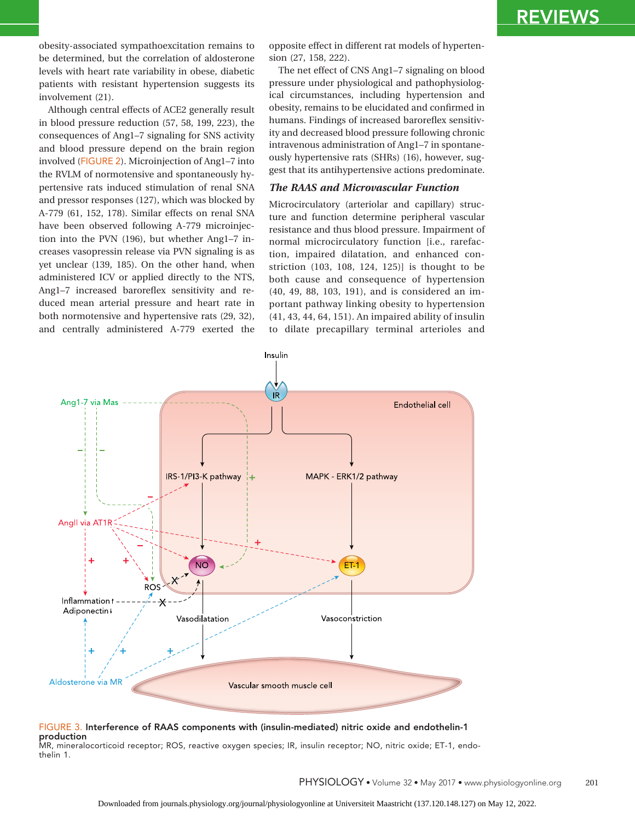obesity-associated sympathoexcitation remains to be determined, but the correlation of aldosterone levels with heart rate variability in obese, diabetic patients with resistant hypertension suggests its involvement (21).

Although central effects of ACE2 generally result in blood pressure reduction (57, 58, 199, 223), the consequences of Ang1–7 signaling for SNS activity and blood pressure depend on the brain region involved (FIGURE 2). Microinjection of Ang1–7 into the RVLM of normotensive and spontaneously hypertensive rats induced stimulation of renal SNA and pressor responses (127), which was blocked by A-779 (61, 152, 178). Similar effects on renal SNA have been observed following A-779 microinjection into the PVN (196), but whether Ang1–7 increases vasopressin release via PVN signaling is as yet unclear (139, 185). On the other hand, when administered ICV or applied directly to the NTS, Ang1–7 increased baroreflex sensitivity and reduced mean arterial pressure and heart rate in both normotensive and hypertensive rats (29, 32), and centrally administered A-779 exerted the

opposite effect in different rat models of hypertension (27, 158, 222).

The net effect of CNS Ang1–7 signaling on blood pressure under physiological and pathophysiological circumstances, including hypertension and obesity, remains to be elucidated and confirmed in humans. Findings of increased baroreflex sensitivity and decreased blood pressure following chronic intravenous administration of Ang1–7 in spontaneously hypertensive rats (SHRs) (16), however, suggest that its antihypertensive actions predominate.

#### *The RAAS and Microvascular Function*

Microcirculatory (arteriolar and capillary) structure and function determine peripheral vascular resistance and thus blood pressure. Impairment of normal microcirculatory function [i.e., rarefaction, impaired dilatation, and enhanced constriction (103, 108, 124, 125)] is thought to be both cause and consequence of hypertension (40, 49, 88, 103, 191), and is considered an important pathway linking obesity to hypertension (41, 43, 44, 64, 151). An impaired ability of insulin to dilate precapillary terminal arterioles and



### FIGURE 3. Interference of RAAS components with (insulin-mediated) nitric oxide and endothelin-1

production

MR, mineralocorticoid receptor; ROS, reactive oxygen species; IR, insulin receptor; NO, nitric oxide; ET-1, endothelin 1.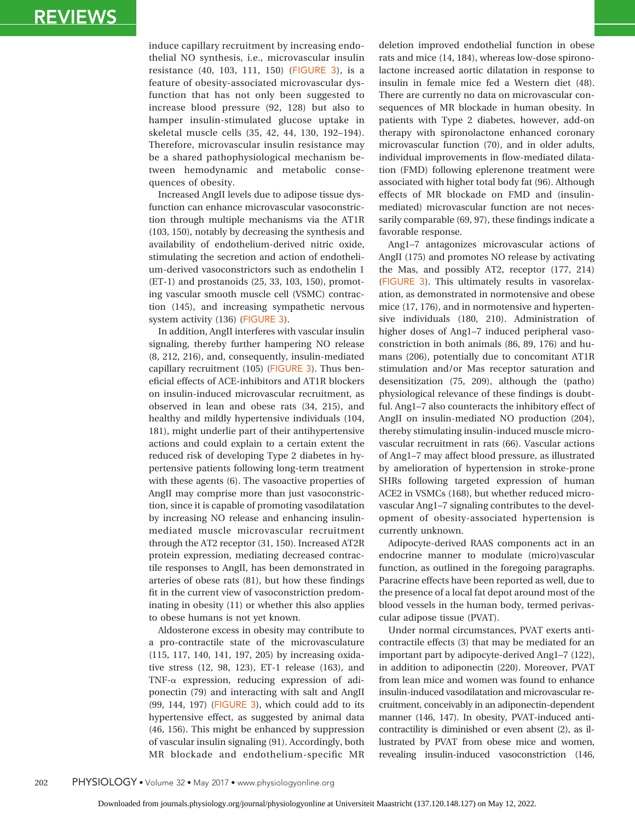induce capillary recruitment by increasing endothelial NO synthesis, i.e., microvascular insulin resistance (40, 103, 111, 150) (FIGURE 3), is a feature of obesity-associated microvascular dysfunction that has not only been suggested to increase blood pressure (92, 128) but also to hamper insulin-stimulated glucose uptake in skeletal muscle cells (35, 42, 44, 130, 192–194). Therefore, microvascular insulin resistance may be a shared pathophysiological mechanism between hemodynamic and metabolic consequences of obesity.

Increased AngII levels due to adipose tissue dysfunction can enhance microvascular vasoconstriction through multiple mechanisms via the AT1R (103, 150), notably by decreasing the synthesis and availability of endothelium-derived nitric oxide, stimulating the secretion and action of endothelium-derived vasoconstrictors such as endothelin 1 (ET-1) and prostanoids (25, 33, 103, 150), promoting vascular smooth muscle cell (VSMC) contraction (145), and increasing sympathetic nervous system activity (136) (FIGURE 3).

In addition, AngII interferes with vascular insulin signaling, thereby further hampering NO release (8, 212, 216), and, consequently, insulin-mediated capillary recruitment (105) (FIGURE 3). Thus beneficial effects of ACE-inhibitors and AT1R blockers on insulin-induced microvascular recruitment, as observed in lean and obese rats (34, 215), and healthy and mildly hypertensive individuals (104, 181), might underlie part of their antihypertensive actions and could explain to a certain extent the reduced risk of developing Type 2 diabetes in hypertensive patients following long-term treatment with these agents (6). The vasoactive properties of AngII may comprise more than just vasoconstriction, since it is capable of promoting vasodilatation by increasing NO release and enhancing insulinmediated muscle microvascular recruitment through the AT2 receptor (31, 150). Increased AT2R protein expression, mediating decreased contractile responses to AngII, has been demonstrated in arteries of obese rats (81), but how these findings fit in the current view of vasoconstriction predominating in obesity (11) or whether this also applies to obese humans is not yet known.

Aldosterone excess in obesity may contribute to a pro-contractile state of the microvasculature (115, 117, 140, 141, 197, 205) by increasing oxidative stress (12, 98, 123), ET-1 release (163), and TNF- $\alpha$  expression, reducing expression of adiponectin (79) and interacting with salt and AngII (99, 144, 197) (FIGURE 3), which could add to its hypertensive effect, as suggested by animal data (46, 156). This might be enhanced by suppression of vascular insulin signaling (91). Accordingly, both MR blockade and endothelium-specific MR

deletion improved endothelial function in obese rats and mice (14, 184), whereas low-dose spironolactone increased aortic dilatation in response to insulin in female mice fed a Western diet (48). There are currently no data on microvascular consequences of MR blockade in human obesity. In patients with Type 2 diabetes, however, add-on therapy with spironolactone enhanced coronary microvascular function (70), and in older adults, individual improvements in flow-mediated dilatation (FMD) following eplerenone treatment were associated with higher total body fat (96). Although effects of MR blockade on FMD and (insulinmediated) microvascular function are not necessarily comparable (69, 97), these findings indicate a favorable response.

Ang1–7 antagonizes microvascular actions of AngII (175) and promotes NO release by activating the Mas, and possibly AT2, receptor (177, 214) (FIGURE 3). This ultimately results in vasorelaxation, as demonstrated in normotensive and obese mice (17, 176), and in normotensive and hypertensive individuals (180, 210). Administration of higher doses of Ang1–7 induced peripheral vasoconstriction in both animals (86, 89, 176) and humans (206), potentially due to concomitant AT1R stimulation and/or Mas receptor saturation and desensitization (75, 209), although the (patho) physiological relevance of these findings is doubtful. Ang1–7 also counteracts the inhibitory effect of AngII on insulin-mediated NO production (204), thereby stimulating insulin-induced muscle microvascular recruitment in rats (66). Vascular actions of Ang1–7 may affect blood pressure, as illustrated by amelioration of hypertension in stroke-prone SHRs following targeted expression of human ACE2 in VSMCs (168), but whether reduced microvascular Ang1–7 signaling contributes to the development of obesity-associated hypertension is currently unknown.

Adipocyte-derived RAAS components act in an endocrine manner to modulate (micro)vascular function, as outlined in the foregoing paragraphs. Paracrine effects have been reported as well, due to the presence of a local fat depot around most of the blood vessels in the human body, termed perivascular adipose tissue (PVAT).

Under normal circumstances, PVAT exerts anticontractile effects (3) that may be mediated for an important part by adipocyte-derived Ang1–7 (122), in addition to adiponectin (220). Moreover, PVAT from lean mice and women was found to enhance insulin-induced vasodilatation and microvascular recruitment, conceivably in an adiponectin-dependent manner (146, 147). In obesity, PVAT-induced anticontractility is diminished or even absent (2), as illustrated by PVAT from obese mice and women, revealing insulin-induced vasoconstriction (146,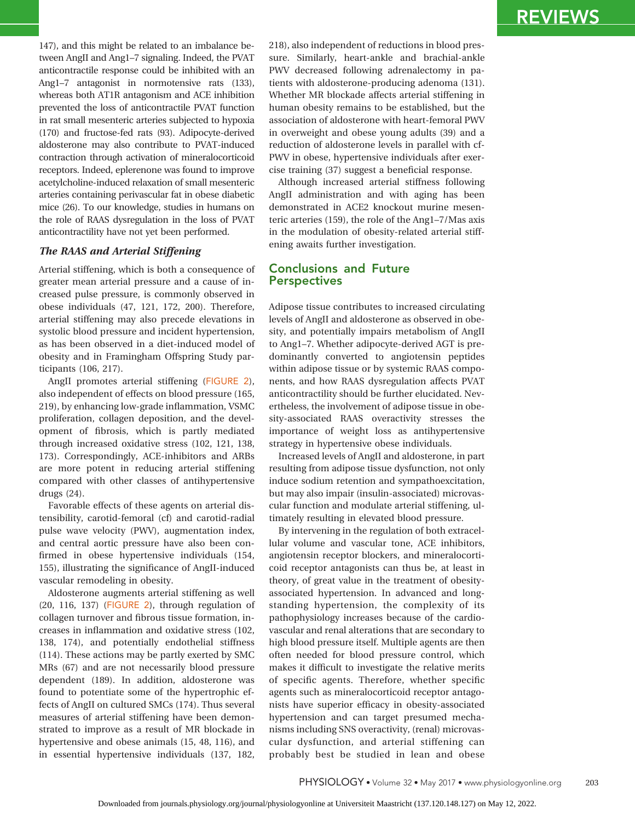147), and this might be related to an imbalance between AngII and Ang1–7 signaling. Indeed, the PVAT anticontractile response could be inhibited with an Ang1–7 antagonist in normotensive rats (133), whereas both AT1R antagonism and ACE inhibition prevented the loss of anticontractile PVAT function in rat small mesenteric arteries subjected to hypoxia (170) and fructose-fed rats (93). Adipocyte-derived aldosterone may also contribute to PVAT-induced contraction through activation of mineralocorticoid receptors. Indeed, eplerenone was found to improve acetylcholine-induced relaxation of small mesenteric arteries containing perivascular fat in obese diabetic mice (26). To our knowledge, studies in humans on the role of RAAS dysregulation in the loss of PVAT anticontractility have not yet been performed.

### *The RAAS and Arterial Stiffening*

Arterial stiffening, which is both a consequence of greater mean arterial pressure and a cause of increased pulse pressure, is commonly observed in obese individuals (47, 121, 172, 200). Therefore, arterial stiffening may also precede elevations in systolic blood pressure and incident hypertension, as has been observed in a diet-induced model of obesity and in Framingham Offspring Study participants (106, 217).

AngII promotes arterial stiffening (FIGURE 2), also independent of effects on blood pressure (165, 219), by enhancing low-grade inflammation, VSMC proliferation, collagen deposition, and the development of fibrosis, which is partly mediated through increased oxidative stress (102, 121, 138, 173). Correspondingly, ACE-inhibitors and ARBs are more potent in reducing arterial stiffening compared with other classes of antihypertensive drugs (24).

Favorable effects of these agents on arterial distensibility, carotid-femoral (cf) and carotid-radial pulse wave velocity (PWV), augmentation index, and central aortic pressure have also been confirmed in obese hypertensive individuals (154, 155), illustrating the significance of AngII-induced vascular remodeling in obesity.

Aldosterone augments arterial stiffening as well (20, 116, 137) (FIGURE 2), through regulation of collagen turnover and fibrous tissue formation, increases in inflammation and oxidative stress (102, 138, 174), and potentially endothelial stiffness (114). These actions may be partly exerted by SMC MRs (67) and are not necessarily blood pressure dependent (189). In addition, aldosterone was found to potentiate some of the hypertrophic effects of AngII on cultured SMCs (174). Thus several measures of arterial stiffening have been demonstrated to improve as a result of MR blockade in hypertensive and obese animals (15, 48, 116), and in essential hypertensive individuals (137, 182, 218), also independent of reductions in blood pressure. Similarly, heart-ankle and brachial-ankle PWV decreased following adrenalectomy in patients with aldosterone-producing adenoma (131). Whether MR blockade affects arterial stiffening in human obesity remains to be established, but the association of aldosterone with heart-femoral PWV in overweight and obese young adults (39) and a reduction of aldosterone levels in parallel with cf-PWV in obese, hypertensive individuals after exercise training (37) suggest a beneficial response.

Although increased arterial stiffness following AngII administration and with aging has been demonstrated in ACE2 knockout murine mesenteric arteries (159), the role of the Ang1–7/Mas axis in the modulation of obesity-related arterial stiffening awaits further investigation.

### Conclusions and Future **Perspectives**

Adipose tissue contributes to increased circulating levels of AngII and aldosterone as observed in obesity, and potentially impairs metabolism of AngII to Ang1–7. Whether adipocyte-derived AGT is predominantly converted to angiotensin peptides within adipose tissue or by systemic RAAS components, and how RAAS dysregulation affects PVAT anticontractility should be further elucidated. Nevertheless, the involvement of adipose tissue in obesity-associated RAAS overactivity stresses the importance of weight loss as antihypertensive strategy in hypertensive obese individuals.

Increased levels of AngII and aldosterone, in part resulting from adipose tissue dysfunction, not only induce sodium retention and sympathoexcitation, but may also impair (insulin-associated) microvascular function and modulate arterial stiffening, ultimately resulting in elevated blood pressure.

By intervening in the regulation of both extracellular volume and vascular tone, ACE inhibitors, angiotensin receptor blockers, and mineralocorticoid receptor antagonists can thus be, at least in theory, of great value in the treatment of obesityassociated hypertension. In advanced and longstanding hypertension, the complexity of its pathophysiology increases because of the cardiovascular and renal alterations that are secondary to high blood pressure itself. Multiple agents are then often needed for blood pressure control, which makes it difficult to investigate the relative merits of specific agents. Therefore, whether specific agents such as mineralocorticoid receptor antagonists have superior efficacy in obesity-associated hypertension and can target presumed mechanisms including SNS overactivity, (renal) microvascular dysfunction, and arterial stiffening can probably best be studied in lean and obese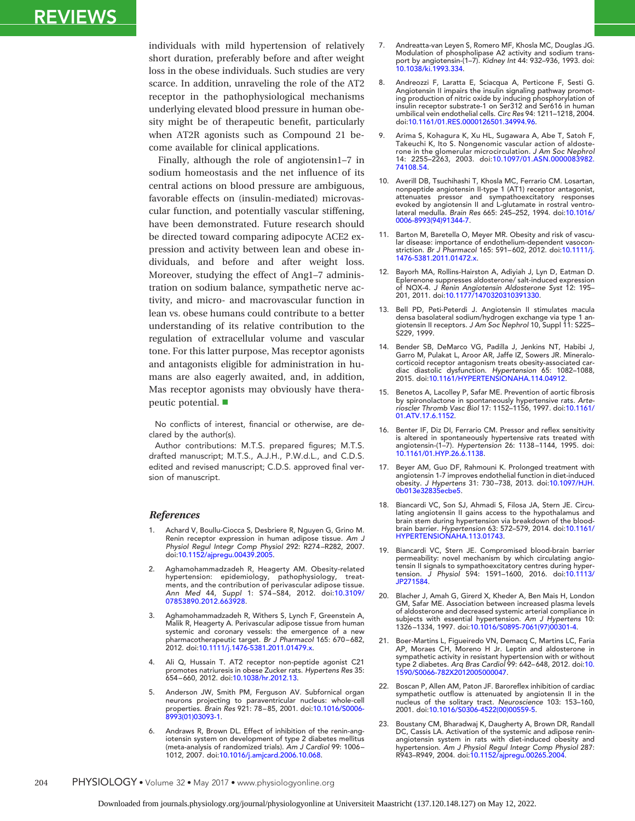individuals with mild hypertension of relatively short duration, preferably before and after weight loss in the obese individuals. Such studies are very scarce. In addition, unraveling the role of the AT2 receptor in the pathophysiological mechanisms underlying elevated blood pressure in human obesity might be of therapeutic benefit, particularly when AT2R agonists such as Compound 21 become available for clinical applications.

Finally, although the role of angiotensin1–7 in sodium homeostasis and the net influence of its central actions on blood pressure are ambiguous, favorable effects on (insulin-mediated) microvascular function, and potentially vascular stiffening, have been demonstrated. Future research should be directed toward comparing adipocyte ACE2 expression and activity between lean and obese individuals, and before and after weight loss. Moreover, studying the effect of Ang1–7 administration on sodium balance, sympathetic nerve activity, and micro- and macrovascular function in lean vs. obese humans could contribute to a better understanding of its relative contribution to the regulation of extracellular volume and vascular tone. For this latter purpose, Mas receptor agonists and antagonists eligible for administration in humans are also eagerly awaited, and, in addition, Mas receptor agonists may obviously have therapeutic potential.

No conflicts of interest, financial or otherwise, are declared by the author(s).

Author contributions: M.T.S. prepared figures; M.T.S. drafted manuscript; M.T.S., A.J.H., P.W.d.L., and C.D.S. edited and revised manuscript; C.D.S. approved final version of manuscript.

#### *References*

- 1. Achard V, Boullu-Ciocca S, Desbriere R, Nguyen G, Grino M. Renin receptor expression in human adipose tissue. *Am J Physiol Regul Integr Comp Physiol* 292: R274–R282, 2007. doi[:10.1152/ajpregu.00439.2005.](http://dx.doi.org/10.1152/ajpregu.00439.2005)
- 2. Aghamohammadzadeh R, Heagerty AM. Obesity-related hypertension: epidemiology, pathophysiology, treat-ments, and the contribution of perivascular adipose tissue. *Ann Med* 44, *Suppl* 1: S74–S84, 2012. doi[:10.3109/](http://dx.doi.org/10.3109/07853890.2012.663928) [07853890.2012.663928.](http://dx.doi.org/10.3109/07853890.2012.663928)
- Aghamohammadzadeh R, Withers S, Lynch F, Greenstein A, Malik R, Heagerty A. Perivascular adipose tissue from human systemic and coronary vessels: the emergence of a new pharmacotherapeutic target. *Br J Pharmacol* 165: 670–682, 2012. doi[:10.1111/j.1476-5381.2011.01479.x.](http://dx.doi.org/10.1111/j.1476-5381.2011.01479.x)
- Ali Q, Hussain T. AT2 receptor non-peptide agonist C21 promotes natriuresis in obese Zucker rats. *Hypertens Res* 35: 654–660, 2012. doi[:10.1038/hr.2012.13.](http://dx.doi.org/10.1038/hr.2012.13)
- Anderson JW, Smith PM, Ferguson AV. Subfornical organ neurons projecting to paraventricular nucleus: whole-cell properties. *Brain Res* 921: 78–85, 2001. doi[:10.1016/S0006-](http://dx.doi.org/10.1016/S0006-8993(01)03093-1) [8993\(01\)03093-1.](http://dx.doi.org/10.1016/S0006-8993(01)03093-1)
- 6. Andraws R, Brown DL. Effect of inhibition of the renin-angiotensin system on development of type 2 diabetes mellitus (meta-analysis of randomized trials). *Am J Cardiol* 99: 1006– 1012, 2007. doi[:10.1016/j.amjcard.2006.10.068.](http://dx.doi.org/10.1016/j.amjcard.2006.10.068)
- 7. Andreatta-van Leyen S, Romero MF, Khosla MC, Douglas JG. Modulation of phospholipase A2 activity and sodium transport by angiotensin-(1–7). *Kidney Int* 44: 932–936, 1993. doi: [10.1038/ki.1993.334.](http://dx.doi.org/10.1038/ki.1993.334)
- 8. Andreozzi F, Laratta E, Sciacqua A, Perticone F, Sesti G. Angiotensin II impairs the insulin signaling pathway promoting production of nitric oxide by inducing phosphorylation of insulin receptor substrate-1 on Ser312 and Ser616 in human umbilical vein endothelial cells. *Circ Res* 94: 1211–1218, 2004. doi[:10.1161/01.RES.0000126501.34994.96.](http://dx.doi.org/10.1161/01.RES.0000126501.34994.96)
- 9. Arima S, Kohagura K, Xu HL, Sugawara A, Abe T, Satoh F, Takeuchi K, Ito S. Nongenomic vascular action of aldosterone in the glomerular microcirculation. *J Am Soc Nephrol* 14: 2255–2263, 2003. doi[:10.1097/01.ASN.0000083982.](http://dx.doi.org/10.1097/01.ASN.0000083982.74108.54) [74108.54.](http://dx.doi.org/10.1097/01.ASN.0000083982.74108.54)
- 10. Averill DB, Tsuchihashi T, Khosla MC, Ferrario CM. Losartan, nonpeptide angiotensin II-type 1 (AT1) receptor antagonist, attenuates pressor and sympathoexcitatory responses evoked by angiotensin II and L-glutamate in rostral ventrolateral medulla. *Brain Res* 665: 245–252, 1994. doi[:10.1016/](http://dx.doi.org/10.1016/0006-8993(94)91344-7) [0006-8993\(94\)91344-7.](http://dx.doi.org/10.1016/0006-8993(94)91344-7)
- 11. Barton M, Baretella O, Meyer MR. Obesity and risk of vascular disease: importance of endothelium-dependent vasocon-striction. *Br J Pharmacol* 165: 591–602, 2012. doi[:10.1111/j.](http://dx.doi.org/10.1111/j.1476-5381.2011.01472.x) [1476-5381.2011.01472.x.](http://dx.doi.org/10.1111/j.1476-5381.2011.01472.x)
- 12. Bayorh MA, Rollins-Hairston A, Adiyiah J, Lyn D, Eatman D. Eplerenone suppresses aldosterone/ salt-induced expression of NOX-4. *J Renin Angiotensin Aldosterone Syst* 12: 195– 201, 2011. doi[:10.1177/1470320310391330.](http://dx.doi.org/10.1177/1470320310391330)
- 13. Bell PD, Peti-Peterdi J. Angiotensin II stimulates macula densa basolateral sodium/hydrogen exchange via type 1 angiotensin II receptors. *J Am Soc Nephrol* 10, Suppl 11: S225– S229, 1999.
- 14. Bender SB, DeMarco VG, Padilla J, Jenkins NT, Habibi J, Garro M, Pulakat L, Aroor AR, Jaffe IZ, Sowers JR. Mineralocorticoid receptor antagonism treats obesity-associated cardiac diastolic dysfunction. *Hypertension* 65: 1082–1088, 2015. doi[:10.1161/HYPERTENSIONAHA.114.04912.](http://dx.doi.org/10.1161/HYPERTENSIONAHA.114.04912)
- 15. Benetos A, Lacolley P, Safar ME. Prevention of aortic fibrosis by spironolactone in spontaneously hypertensive rats. *Arte-rioscler Thromb Vasc Biol* 17: 1152–1156, 1997. doi[:10.1161/](http://dx.doi.org/10.1161/01.ATV.17.6.1152) [01.ATV.17.6.1152.](http://dx.doi.org/10.1161/01.ATV.17.6.1152)
- 16. Benter IF, Diz DI, Ferrario CM. Pressor and reflex sensitivity is altered in spontaneously hypertensive rats treated with angiotensin-(1–7). *Hypertension* 26: 1138–1144, 1995. doi: [10.1161/01.HYP.26.6.1138.](http://dx.doi.org/10.1161/01.HYP.26.6.1138)
- 17. Beyer AM, Guo DF, Rahmouni K. Prolonged treatment with angiotensin 1-7 improves endothelial function in diet-induced obesity. *J Hypertens* 31: 730–738, 2013. doi[:10.1097/HJH.](http://dx.doi.org/10.1097/HJH.0b013e32835ecbe5) [0b013e32835ecbe5.](http://dx.doi.org/10.1097/HJH.0b013e32835ecbe5)
- 18. Biancardi VC, Son SJ, Ahmadi S, Filosa JA, Stern JE. Circulating angiotensin II gains access to the hypothalamus and brain stem during hypertension via breakdown of the blood-brain barrier. *Hypertension* 63: 572–579, 2014. doi[:10.1161/](http://dx.doi.org/10.1161/HYPERTENSIONAHA.113.01743) [HYPERTENSIONAHA.113.01743.](http://dx.doi.org/10.1161/HYPERTENSIONAHA.113.01743)
- 19. Biancardi VC, Stern JE. Compromised blood-brain barrier permeability: novel mechanism by which circulating angiotensin II signals to sympathoexcitatory centres during hypertension. *J Physiol* 594: 1591–1600, 2016. doi[:10.1113/](http://dx.doi.org/10.1113/JP271584) [JP271584.](http://dx.doi.org/10.1113/JP271584)
- 20. Blacher J, Amah G, Girerd X, Kheder A, Ben Mais H, London GM, Safar ME. Association between increased plasma levels of aldosterone and decreased systemic arterial compliance in subjects with essential hypertension. *Am J Hypertens* 10: 1326–1334, 1997. doi[:10.1016/S0895-7061\(97\)00301-4.](http://dx.doi.org/10.1016/S0895-7061(97)00301-4)
- 21. Boer-Martins L, Figueiredo VN, Demacq C, Martins LC, Faria AP, Moraes CH, Moreno H Jr. Leptin and aldosterone in sympathetic activity in resistant hypertension with or without type 2 diabetes. *Arq Bras Cardiol* 99: 642–648, 2012. doi[:10.](http://dx.doi.org/10.1590/S0066-782X2012005000047) [1590/S0066-782X2012005000047.](http://dx.doi.org/10.1590/S0066-782X2012005000047)
- 22. Boscan P, Allen AM, Paton JF. Baroreflex inhibition of cardiac sympathetic outflow is attenuated by angiotensin II in the nucleus of the solitary tract. *Neuroscience* 103: 153–160, 2001. doi[:10.1016/S0306-4522\(00\)00559-5.](http://dx.doi.org/10.1016/S0306-4522(00)00559-5)
- 23. Boustany CM, Bharadwaj K, Daugherty A, Brown DR, Randall DC, Cassis LA. Activation of the systemic and adipose renin-angiotensin system in rats with diet-induced obesity and hypertension. *Am J Physiol Regul Integr Comp Physiol* 287: R943–R949, 2004. doi[:10.1152/ajpregu.00265.2004.](http://dx.doi.org/10.1152/ajpregu.00265.2004)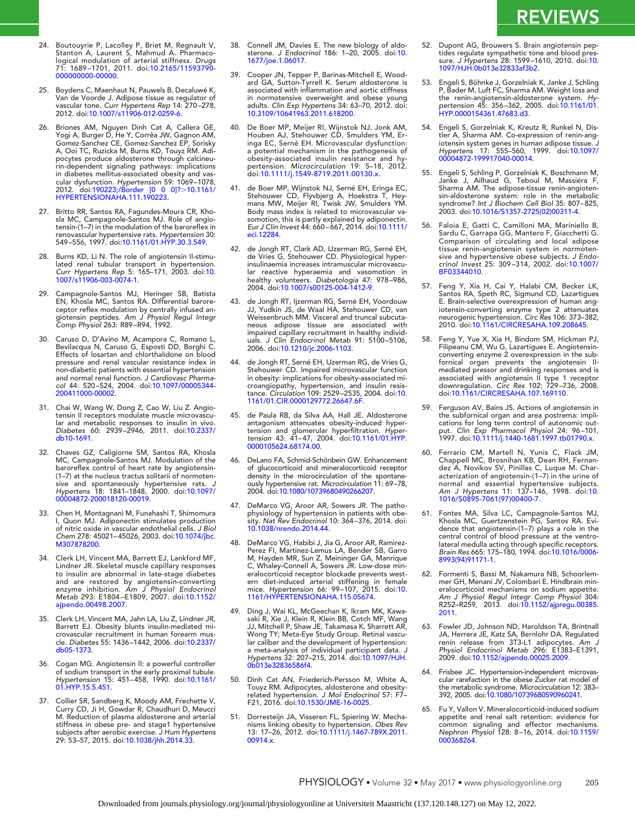- 24. Boutouyrie P, Lacolley P, Briet M, Regnault V, Stanton A, Laurent S, Mahmud A. Pharmacological modulation of arterial stiffness. *Drugs* 71: 1689–1701, 2011. doi[:10.2165/11593790-](http://dx.doi.org/10.2165/11593790-000000000-00000) [000000000-00000.](http://dx.doi.org/10.2165/11593790-000000000-00000)
- 25. Boydens C, Maenhaut N, Pauwels B, Decaluwé K, Van de Voorde J. Adipose tissue as regulator of vascular tone. *Curr Hypertens Rep* 14: 270–278, 2012. doi[:10.1007/s11906-012-0259-6.](http://dx.doi.org/10.1007/s11906-012-0259-6)
- 26. Briones AM, Nguyen Dinh Cat A, Callera GE, Yogi A, Burger D, He Y, Corrêa JW, Gagnon AM, Gomez-Sanchez CE, Gomez-Sanchez EP, Sorisky A, Ooi TC, Ruzicka M, Burns KD, Touyz RM. Adipocytes produce aldosterone through calcineurin-dependent signaling pathways: implications in diabetes mellitus-associated obesity and vas-<br>cular dysfunction. *Hypertension* 59: 1069–1078,<br>2012. doi:190223;/Border [0 0 0]?>10.1161/<br>HYPERTENSIONAHA.111.190223.
- 27. Britto RR, Santos RA, Fagundes-Moura CR, Kho-sla MC, Campagnole-Santos MJ. Role of angiotensin-(1–7) in the modulation of the baroreflex in renovascular hypertensive rats. *Hypertension* 30: 549–556, 1997. doi[:10.1161/01.HYP.30.3.549.](http://dx.doi.org/10.1161/01.HYP.30.3.549)
- 28. Burns KD, Li N. The role of angiotensin II-stimulated renal tubular transport in hypertension. *Curr Hypertens Rep* 5: 165–171, 2003. doi[:10.](http://dx.doi.org/10.1007/s11906-003-0074-1) [1007/s11906-003-0074-1.](http://dx.doi.org/10.1007/s11906-003-0074-1)
- 29. Campagnole-Santos MJ, Heringer SB, Batista EN, Khosla MC, Santos RA. Differential barore-ceptor reflex modulation by centrally infused angiotensin peptides. *Am J Physiol Regul Integr Comp Physiol* 263: R89–R94, 1992.
- 30. Caruso D, D'Avino M, Acampora C, Romano L, Bevilacqua N, Caruso G, Esposti DD, Borghi C. Effects of losartan and chlorthalidone on blood pressure and renal vascular resistance index in non-diabetic patients with essential hypertension and normal renal function. *J Cardiovasc Pharmacol* 44: 520–524, 2004. doi[:10.1097/00005344-](http://dx.doi.org/10.1097/00005344-200411000-00002) [200411000-00002.](http://dx.doi.org/10.1097/00005344-200411000-00002)
- 31. Chai W, Wang W, Dong Z, Cao W, Liu Z. Angiotensin II receptors modulate muscle microvascular and metabolic responses to insulin in vivo. *Diabetes* 60: 2939–2946, 2011. doi[:10.2337/](http://dx.doi.org/10.2337/db10-1691) [db10-1691.](http://dx.doi.org/10.2337/db10-1691)
- 32. Chaves GZ, Caligiorne SM, Santos RA, Khosla MC, Campagnole-Santos MJ. Modulation of the baroreflex control of heart rate by angiotensin- (1–7) at the nucleus tractus solitarii of normotensive and spontaneously hypertensive rats. *J Hypertens* 18: 1841–1848, 2000. doi[:10.1097/](http://dx.doi.org/10.1097/00004872-200018120-00019) [00004872-200018120-00019.](http://dx.doi.org/10.1097/00004872-200018120-00019)
- 33. Chen H, Montagnani M, Funahashi T, Shimomura I, Quon MJ. Adiponectin stimulates production of nitric oxide in vascular endothelial cells. *J Biol Chem* 278: 45021–45026, 2003. doi[:10.1074/jbc.](http://dx.doi.org/10.1074/jbc.M307878200) [M307878200.](http://dx.doi.org/10.1074/jbc.M307878200)
- Clerk LH, Vincent MA, Barrett EJ, Lankford MF, Lindner JR. Skeletal muscle capillary responses to insulin are abnormal in late-stage diabetes and are restored by angiotensin-converting enzyme inhibition. *Am J Physiol Endocrinol Metab* 293: E1804–E1809, 2007. doi[:10.1152/](http://dx.doi.org/10.1152/ajpendo.00498.2007) [ajpendo.00498.2007.](http://dx.doi.org/10.1152/ajpendo.00498.2007)
- 35. Clerk LH, Vincent MA, Jahn LA, Liu Z, Lindner JR, Barrett EJ. Obesity blunts insulin-mediated microvascular recruitment in human forearm muscle. *Diabetes* 55: 1436–1442, 2006. doi[:10.2337/](http://dx.doi.org/10.2337/db05-1373) [db05-1373.](http://dx.doi.org/10.2337/db05-1373)
- 36. Cogan MG. Angiotensin II: a powerful controller of sodium transport in the early proximal tubule. *Hypertension* 15: 451–458, 1990. doi[:10.1161/](http://dx.doi.org/10.1161/01.HYP.15.5.451) [01.HYP.15.5.451.](http://dx.doi.org/10.1161/01.HYP.15.5.451)
- 37. Collier SR, Sandberg K, Moody AM, Frechette V, Curry CD, Ji H, Gowdar R, Chaudhuri D, Meucci M. Reduction of plasma aldosterone and arterial stiffness in obese pre- and stage1 hypertensive subjects after aerobic exercise. *J Hum Hypertens* 29: 53–57, 2015. doi[:10.1038/jhh.2014.33.](http://dx.doi.org/10.1038/jhh.2014.33)
- 38. Connell JM, Davies E. The new biology of aldo-sterone. *J Endocrinol* 186: 1–20, 2005. doi[:10.](http://dx.doi.org/10.1677/joe.1.06017) [1677/joe.1.06017.](http://dx.doi.org/10.1677/joe.1.06017)
- 39. Cooper JN, Tepper P, Barinas-Mitchell E, Woodard GA, Sutton-Tyrrell K. Serum aldosterone is associated with inflammation and aortic stiffness in normotensive overweight and obese young adults. *Clin Exp Hypertens* 34: 63–70, 2012. doi: [10.3109/10641963.2011.618200.](http://dx.doi.org/10.3109/10641963.2011.618200)
- 40. De Boer MP, Meijer RI, Wijnstok NJ, Jonk AM, Houben AJ, Stehouwer CD, Smulders YM, Er-inga EC, Serné EH. Microvascular dysfunction: a potential mechanism in the pathogenesis of obesity-associated insulin resistance and hypertension. *Microcirculation* 19: 5–18, 2012. doi[:10.1111/j.1549-8719.2011.00130.x.](http://dx.doi.org/10.1111/j.1549-8719.2011.00130.x)
- 41. de Boer MP, Wijnstok NJ, Serné EH, Eringa EC, Stehouwer CD, Flyvbjerg A, Hoekstra T, Hey-mans MW, Meijer RI, Twisk JW, Smulders YM. Body mass index is related to microvascular vasomotion, this is partly explained by adiponectin. *Eur J Clin Invest* 44: 660–667, 2014. doi[:10.1111/](http://dx.doi.org/10.1111/eci.12284) [eci.12284.](http://dx.doi.org/10.1111/eci.12284)
- 42. de Jongh RT, Clark AD, IJzerman RG, Serné EH, de Vries G, Stehouwer CD. Physiological hyperinsulinaemia increases intramuscular microvascular reactive hyperaemia and vasomotion in healthy volunteers. *Diabetologia* 47: 978–986, 2004. doi[:10.1007/s00125-004-1412-9.](http://dx.doi.org/10.1007/s00125-004-1412-9)
- 43. de Jongh RT, Ijzerman RG, Serné EH, Voordouw JJ, Yudkin JS, de Waal HA, Stehouwer CD, van Weissenbruch MM. Visceral and truncal subcutaneous adipose tissue are associated with impaired capillary recruitment in healthy individ-uals. *J Clin Endocrinol Metab* 91: 5100–5106, 2006. doi[:10.1210/jc.2006-1103.](http://dx.doi.org/10.1210/jc.2006-1103)
- 44. de Jongh RT, Serné EH, IJzerman RG, de Vries G, Stehouwer CD. Impaired microvascular function in obesity: implications for obesity-associated microangiopathy, hypertension, and insulin resis-tance. *Circulation* 109: 2529–2535, 2004. doi[:10.](http://dx.doi.org/10.1161/01.CIR.0000129772.26647.6F) [1161/01.CIR.0000129772.26647.6F.](http://dx.doi.org/10.1161/01.CIR.0000129772.26647.6F)
- 45. de Paula RB, da Silva AA, Hall JE. Aldosterone antagonism attenuates obesity-induced hyper-<br>tension and glomerular hyperfiltration. *Hyper-*<br>*tension* 43: 41–47, 2004. doi[:10.1161/01.HYP.](http://dx.doi.org/10.1161/01.HYP.0000105624.68174.00)<br>[0000105624.68174.00.](http://dx.doi.org/10.1161/01.HYP.0000105624.68174.00)
- 46. DeLano FA, Schmid-Schönbein GW. Enhancement of glucocorticoid and mineralocorticoid receptor density in the microcirculation of the spontaneously hypertensive rat. *Microcirculation* 11: 69–78, 2004. doi[:10.1080/10739680490266207.](http://dx.doi.org/10.1080/10739680490266207)
- 47. DeMarco VG, Aroor AR, Sowers JR. The pathophysiology of hypertension in patients with obe-sity. *Nat Rev Endocrinol* 10: 364–376, 2014. doi: [10.1038/nrendo.2014.44.](http://dx.doi.org/10.1038/nrendo.2014.44)
- 48. DeMarco VG, Habibi J, Jia G, Aroor AR, Ramirez-Perez FI, Martinez-Lemus LA, Bender SB, Garro M, Hayden MR, Sun Z, Meininger GA, Manrique C, Whaley-Connell A, Sowers JR. Low-dose mineralocorticoid receptor blockade prevents western diet-induced arterial stiffening in female mice. *Hypertension* 66: 99–107, 2015. doi[:10.](http://dx.doi.org/10.1161/HYPERTENSIONAHA.115.05674) [1161/HYPERTENSIONAHA.115.05674.](http://dx.doi.org/10.1161/HYPERTENSIONAHA.115.05674)
- 49. Ding J, Wai KL, McGeechan K, Ikram MK, Kawa-saki R, Xie J, Klein R, Klein BB, Cotch MF, Wang JJ, Mitchell P, Shaw JE, Takamasa K, Sharrett AR, Wong TY; Meta-Eye Study Group. Retinal vascular caliber and the development of hypertension: a meta-analysis of individual participant data. *J Hypertens* 32: 207–215, 2014. doi[:10.1097/HJH.](http://dx.doi.org/10.1097/HJH.0b013e32836586f4) [0b013e32836586f4.](http://dx.doi.org/10.1097/HJH.0b013e32836586f4)
- 50. Dinh Cat AN, Friederich-Persson M, White A, Touyz RM. Adipocytes, aldosterone and obesity-related hypertension. *J Mol Endocrinol* 57: F7– F21, 2016. doi[:10.1530/JME-16-0025.](http://dx.doi.org/10.1530/JME-16-0025)
- Dorresteijn JA, Visseren FL, Spiering W. Mechanisms linking obesity to hypertension. *Obes Rev* 13: 17–26, 2012. doi[:10.1111/j.1467-789X.2011.](http://dx.doi.org/10.1111/j.1467-789X.2011.00914.x) [00914.x.](http://dx.doi.org/10.1111/j.1467-789X.2011.00914.x)
- 52. Dupont AG, Brouwers S. Brain angiotensin peptides regulate sympathetic tone and blood pres-sure. *J Hypertens* 28: 1599–1610, 2010. doi[:10.](http://dx.doi.org/10.1097/HJH.0b013e32833af3b2) [1097/HJH.0b013e32833af3b2.](http://dx.doi.org/10.1097/HJH.0b013e32833af3b2)
- 53. Engeli S, Böhnke J, Gorzelniak K, Janke J, Schling P, Bader M, Luft FC, Sharma AM. Weight loss and the renin-angiotensin-aldosterone system. *Hypertension* 45: 356–362, 2005. doi[:10.1161/01.](http://dx.doi.org/10.1161/01.HYP.0000154361.47683.d3) [HYP.0000154361.47683.d3.](http://dx.doi.org/10.1161/01.HYP.0000154361.47683.d3)
- 54. Engeli S, Gorzelniak K, Kreutz R, Runkel N, Distler A, Sharma AM. Co-expression of renin-angiotensin system genes in human adipose tissue. *J Hypertens* 17: 555–560, 1999. doi[:10.1097/](http://dx.doi.org/10.1097/00004872-199917040-00014) [00004872-199917040-00014.](http://dx.doi.org/10.1097/00004872-199917040-00014)
- 55. Engeli S, Schling P, Gorzelniak K, Boschmann M, Janke J, Ailhaud G, Teboul M, Massiéra F, Sharma AM. The adipose-tissue renin-angiotensin-aldosterone system: role in the metabolic syndrome? *Int J Biochem Cell Biol* 35: 807–825, 2003. doi[:10.1016/S1357-2725\(02\)00311-4.](http://dx.doi.org/10.1016/S1357-2725(02)00311-4)
- 56. Faloia E, Gatti C, Camilloni MA, Mariniello B, Sardu C, Garrapa GG, Mantero F, Giacchetti G. Comparison of circulating and local adipose tissue renin-angiotensin system in normotensive and hypertensive obese subjects. *J Endocrinol Invest* 25: 309–314, 2002. doi[:10.1007/](http://dx.doi.org/10.1007/BF03344010) [BF03344010.](http://dx.doi.org/10.1007/BF03344010)
- 57. Feng Y, Xia H, Cai Y, Halabi CM, Becker LK, Santos RA, Speth RC, Sigmund CD, Lazartigues E. Brain-selective overexpression of human angiotensin-converting enzyme type 2 attenuates neurogenic hypertension. *Circ Res* 106: 373–382, 2010. doi[:10.1161/CIRCRESAHA.109.208645.](http://dx.doi.org/10.1161/CIRCRESAHA.109.208645)
- 58. Feng Y, Yue X, Xia H, Bindom SM, Hickman PJ, Filipeanu CM, Wu G, Lazartigues E. Angiotensin-<br>converting enzyme 2 overexpression in the sub-<br>fornical organ prevents the angiotensin II-<br>mediated pressor and drinking responses and is<br>associated with angiotensin II type doi[:10.1161/CIRCRESAHA.107.169110.](http://dx.doi.org/10.1161/CIRCRESAHA.107.169110)
- Ferguson AV, Bains JS. Actions of angiotensin in the subfornical organ and area postrema: impli-<br>cations for long term control of autonomic out-<br>put. *Clin Exp Pharmacol Physiol 2*4: 96–101,<br>1997. doi[:10.1111/j.1440-1681.1997.tb01790.x.](http://dx.doi.org/10.1111/j.1440-1681.1997.tb01790.x)
- 60. Ferrario CM, Martell N, Yunis C, Flack JM, Chappell MC, Brosnihan KB, Dean RH, Fernandez A, Novikov SV, Pinillas C, Luque M. Characterization of angiotensin-(1–7) in the urine of normal and essential hypertensive subjects. *Am J Hypertens* 11: 137–146, 1998. doi[:10.](http://dx.doi.org/10.1016/S0895-7061(97)00400-7) [1016/S0895-7061\(97\)00400-7.](http://dx.doi.org/10.1016/S0895-7061(97)00400-7)
- 61. Fontes MA, Silva LC, Campagnole-Santos MJ, Khosla MC, Guertzenstein PG, Santos RA. Evi-dence that angiotensin-(1–7) plays a role in the central control of blood pressure at the ventrolateral medulla acting through specific receptors. *Brain Res* 665: 175–180, 1994. doi[:10.1016/0006-](http://dx.doi.org/10.1016/0006-8993(94)91171-1) [8993\(94\)91171-1.](http://dx.doi.org/10.1016/0006-8993(94)91171-1)
- 62. Formenti S, Bassi M, Nakamura NB, Schoorlem-mer GH, Menani JV, Colombari E. Hindbrain mineralocorticoid mechanisms on sodium appetite. *Am J Physiol Regul Integr Comp Physiol* 304: R252–R259, 2013. doi[:10.1152/ajpregu.00385.](http://dx.doi.org/10.1152/ajpregu.00385.2011) [2011.](http://dx.doi.org/10.1152/ajpregu.00385.2011)
- Fowler JD, Johnson ND, Haroldson TA, Brintnall JA, Herrera JE, Katz SA, Bernlohr DA. Regulated renin release from 3T3-L1 adipocytes. *Am J Physiol Endocrinol Metab* 296: E1383–E1391, 2009. doi[:10.1152/ajpendo.00025.2009.](http://dx.doi.org/10.1152/ajpendo.00025.2009)
- 64. Frisbee JC. Hypertension-independent microvas-cular rarefaction in the obese Zucker rat model of the metabolic syndrome. *Microcirculation* 12: 383– 392, 2005. doi[:10.1080/10739680590960241.](http://dx.doi.org/10.1080/10739680590960241)
- 65. Fu Y, Vallon V. Mineralocorticoid-induced sodium appetite and renal salt retention: evidence for common signaling and effector mechanisms. *Nephron Physiol* 128: 8–16, 2014. doi[:10.1159/](http://dx.doi.org/10.1159/000368264) [000368264.](http://dx.doi.org/10.1159/000368264)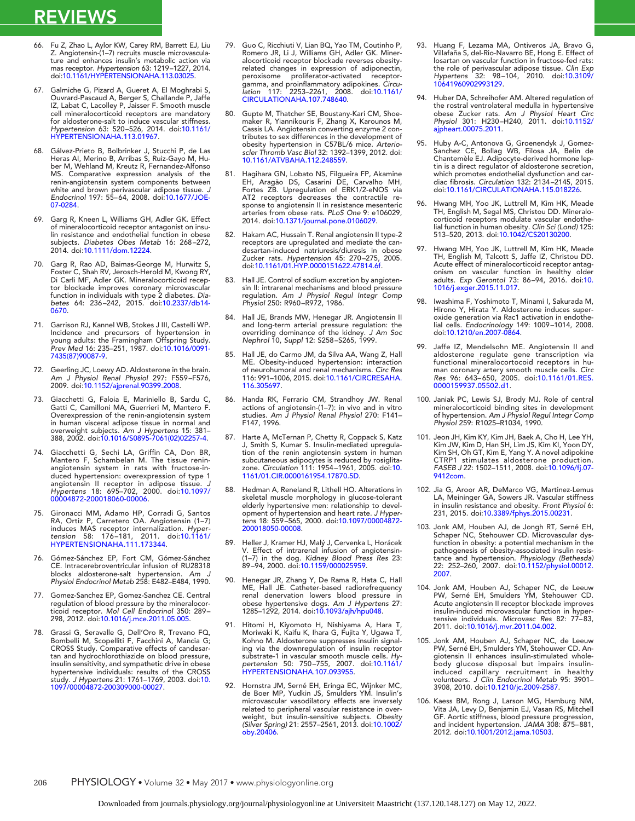- 66. Fu Z, Zhao L, Aylor KW, Carey RM, Barrett EJ, Liu Z. Angiotensin-(1–7) recruits muscle microvasculature and enhances insulin's metabolic action via mas receptor. *Hypertension* 63: 1219–1227, 2014. doi[:10.1161/HYPERTENSIONAHA.113.03025.](http://dx.doi.org/10.1161/HYPERTENSIONAHA.113.03025)
- 67. Galmiche G, Pizard A, Gueret A, El Moghrabi S, Ouvrard-Pascaud A, Berger S, Challande P, Jaffe IZ, Labat C, Lacolley P, Jaisser F. Smooth muscle cell mineralocorticoid receptors are mandatory for aldosterone-salt to induce vascular stiffness. *Hypertension* 63: 520–526, 2014. doi[:10.1161/](http://dx.doi.org/10.1161/HYPERTENSIONAHA.113.01967) [HYPERTENSIONAHA.113.01967.](http://dx.doi.org/10.1161/HYPERTENSIONAHA.113.01967)
- 68. Gálvez-Prieto B, Bolbrinker J, Stucchi P, de Las Heras AI, Merino B, Arribas S, Ruiz-Gayo M, Huber M, Wehland M, Kreutz R, Fernandez-Alfonso MS. Comparative expression analysis of the renin-angiotensin system components between white and brown perivascular adipose tissue. *J Endocrinol* 197: 55–64, 2008. doi[:10.1677/JOE-](http://dx.doi.org/10.1677/JOE-07-0284)[07-0284.](http://dx.doi.org/10.1677/JOE-07-0284)
- 69. Garg R, Kneen L, Williams GH, Adler GK. Effect of mineralocorticoid receptor antagonist on insulin resistance and endothelial function in obese subjects. *Diabetes Obes Metab* 16: 268–272, 2014. doi[:10.1111/dom.12224.](http://dx.doi.org/10.1111/dom.12224)
- 70. Garg R, Rao AD, Baimas-George M, Hurwitz S, Foster C, Shah RV, Jerosch-Herold M, Kwong RY, Di Carli MF, Adler GK. Mineralocorticoid receptor blockade improves coronary microvascular function in individuals with type 2 diabetes. *Diabetes* 64: 236–242, 2015. doi[:10.2337/db14-](http://dx.doi.org/10.2337/db14-0670) [0670.](http://dx.doi.org/10.2337/db14-0670)
- 71. Garrison RJ, Kannel WB, Stokes J III, Castelli WP. Incidence and precursors of hypertension in young adults: the Framingham Offspring Study. *Prev Med* 16: 235–251, 1987. doi[:10.1016/0091-](http://dx.doi.org/10.1016/0091-7435(87)90087-9) [7435\(87\)90087-9.](http://dx.doi.org/10.1016/0091-7435(87)90087-9)
- 72. Geerling JC, Loewy AD. Aldosterone in the brain. *Am J Physiol Renal Physiol* 297: F559–F576, 2009. doi[:10.1152/ajprenal.90399.2008.](http://dx.doi.org/10.1152/ajprenal.90399.2008)
- 73. Giacchetti G, Faloia E, Mariniello B, Sardu C, Gatti C, Camilloni MA, Guerrieri M, Mantero F. Overexpression of the renin-angiotensin system in human visceral adipose tissue in normal and overweight subjects. *Am J Hypertens* 15: 381– 388, 2002. doi[:10.1016/S0895-7061\(02\)02257-4.](http://dx.doi.org/10.1016/S0895-7061(02)02257-4)
- 74. Giacchetti G, Sechi LA, Griffin CA, Don BR, Mantero F, Schambelan M. The tissue reninangiotensin system in rats with fructose-induced hypertension: overexpression of type 1 angiotensin II receptor in adipose tissue. *J Hypertens* 18: 695–702, 2000. doi[:10.1097/](http://dx.doi.org/10.1097/00004872-200018060-00006) [00004872-200018060-00006.](http://dx.doi.org/10.1097/00004872-200018060-00006)
- 75. Gironacci MM, Adamo HP, Corradi G, Santos RA, Ortiz P, Carretero OA. Angiotensin (1–7) induces MAS receptor internalization. *Hyper-tension* 58: 176–181, 2011. doi[:10.1161/](http://dx.doi.org/10.1161/HYPERTENSIONAHA.111.173344) [HYPERTENSIONAHA.111.173344.](http://dx.doi.org/10.1161/HYPERTENSIONAHA.111.173344)
- 76. Gómez-Sánchez EP, Fort CM, Gómez-Sánchez CE. Intracerebroventricular infusion of RU28318 blocks aldosterone-salt hypertension. *Am J Physiol Endocrinol Metab* 258: E482–E484, 1990.
- 77. Gomez-Sanchez EP, Gomez-Sanchez CE. Central regulation of blood pressure by the mineralocor-ticoid receptor. *Mol Cell Endocrinol* 350: 289– 298, 2012. doi[:10.1016/j.mce.2011.05.005.](http://dx.doi.org/10.1016/j.mce.2011.05.005)
- 78. Grassi G, Seravalle G, Dell'Oro R, Trevano FQ, Bombelli M, Scopelliti F, Facchini A, Mancia G; CROSS Study. Comparative effects of candesartan and hydrochlorothiazide on blood pressure, insulin sensitivity, and sympathetic drive in obese hypertensive individuals: results of the CROSS study. *J Hypertens* 21: 1761–1769, 2003. doi[:10.](http://dx.doi.org/10.1097/00004872-200309000-00027) [1097/00004872-200309000-00027.](http://dx.doi.org/10.1097/00004872-200309000-00027)
- 79. Guo C, Ricchiuti V, Lian BQ, Yao TM, Coutinho P, Romero JR, Li J, Williams GH, Adler GK. Mineralocorticoid receptor blockade reverses obesityrelated changes in expression of adiponectin, peroxisome proliferator-activated receptorgamma, and proinflammatory adipokines. *Circu-lation* 117: 2253–2261, 2008. doi[:10.1161/](http://dx.doi.org/10.1161/CIRCULATIONAHA.107.748640) [CIRCULATIONAHA.107.748640.](http://dx.doi.org/10.1161/CIRCULATIONAHA.107.748640)
- 80. Gupte M, Thatcher SE, Boustany-Kari CM, Shoe-maker R, Yiannikouris F, Zhang X, Karounos M, Cassis LA. Angiotensin converting enzyme 2 contributes to sex differences in the development of obesity hypertension in C57BL/6 mice. *Arterioscler Thromb Vasc Biol* 32: 1392–1399, 2012. doi: [10.1161/ATVBAHA.112.248559.](http://dx.doi.org/10.1161/ATVBAHA.112.248559)
- 81. Hagihara GN, Lobato NS, Filgueira FP, Akamine EH, Aragão DS, Casarini DE, Carvalho MH, Fortes ZB. Upregulation of ERK1/2-eNOS via AT2 receptors decreases the contractile response to angiotensin II in resistance mesenteric arteries from obese rats. *PLoS One* 9: e106029, 2014. doi[:10.1371/journal.pone.0106029.](http://dx.doi.org/10.1371/journal.pone.0106029)
- 82. Hakam AC, Hussain T. Renal angiotensin II type-2 receptors are upregulated and mediate the candesartan-induced natriuresis/diuresis in obese Zucker rats. *Hypertension* 45: 270–275, 2005. doi[:10.1161/01.HYP.0000151622.47814.6f.](http://dx.doi.org/10.1161/01.HYP.0000151622.47814.6f)
- 83. Hall JE. Control of sodium excretion by angiotensin II: intrarenal mechanisms and blood pressure regulation. *Am J Physiol Regul Integr Comp Physiol* 250: R960–R972, 1986.
- 84. Hall JE, Brands MW, Henegar JR. Angiotensin II and long-term arterial pressure regulation: the overriding dominance of the kidney. *J Am Soc Nephrol* 10, *Suppl* 12: S258–S265, 1999.
- 85. Hall JE, do Carmo JM, da Silva AA, Wang Z, Hall ME. Obesity-induced hypertension: interaction of neurohumoral and renal mechanisms. *Circ Res* 116: 991–1006, 2015. doi[:10.1161/CIRCRESAHA.](http://dx.doi.org/10.1161/CIRCRESAHA.116.305697) [116.305697.](http://dx.doi.org/10.1161/CIRCRESAHA.116.305697)
- 86. Handa RK, Ferrario CM, Strandhoy JW. Renal actions of angiotensin-(1–7): in vivo and in vitro studies. *Am J Physiol Renal Physiol* 270: F141– F147, 1996.
- 87. Harte A, McTernan P, Chetty R, Coppack S, Katz J, Smith S, Kumar S. Insulin-mediated upregulation of the renin angiotensin system in human subcutaneous adipocytes is reduced by rosiglita-zone. *Circulation* 111: 1954–1961, 2005. doi[:10.](http://dx.doi.org/10.1161/01.CIR.0000161954.17870.5D) [1161/01.CIR.0000161954.17870.5D.](http://dx.doi.org/10.1161/01.CIR.0000161954.17870.5D)
- Hedman A, Reneland R, Lithell HO. Alterations in skeletal muscle morphology in glucose-tolerant elderly hypertensive men: relationship to devel-opment of hypertension and heart rate. *J Hyper-tens* 18: 559–565, 2000. doi[:10.1097/00004872-](http://dx.doi.org/10.1097/00004872-200018050-00008) [200018050-00008.](http://dx.doi.org/10.1097/00004872-200018050-00008)
- 89. Heller J, Kramer HJ, Malý J, Cervenka L, Horácek V. Effect of intrarenal infusion of angiotensin- (1–7) in the dog. *Kidney Blood Press Res* 23: 89–94, 2000. doi[:10.1159/000025959.](http://dx.doi.org/10.1159/000025959)
- 90. Henegar JR, Zhang Y, De Rama R, Hata C, Hall ME, Hall JE. Catheter-based radiorefrequency renal denervation lowers blood pressure in obese hypertensive dogs. *Am J Hypertens* 27: 1285–1292, 2014. doi[:10.1093/ajh/hpu048.](http://dx.doi.org/10.1093/ajh/hpu048)
- 91. Hitomi H, Kiyomoto H, Nishiyama A, Hara T, Moriwaki K, Kaifu K, Ihara G, Fujita Y, Ugawa T, Kohno M. Aldosterone suppresses insulin signaling via the downregulation of insulin receptor substrate-1 in vascular smooth muscle cells. *Hypertension* 50: 750–755, 2007. doi[:10.1161/](http://dx.doi.org/10.1161/HYPERTENSIONAHA.107.093955) [HYPERTENSIONAHA.107.093955.](http://dx.doi.org/10.1161/HYPERTENSIONAHA.107.093955)
- 92. Hornstra JM, Serné EH, Eringa EC, Wijnker MC, de Boer MP, Yudkin JS, Smulders YM. Insulin's microvascular vasodilatory effects are inversely related to peripheral vascular resistance in overweight, but insulin-sensitive subjects. *Obesity (Silver Spring)* 21: 2557–2561, 2013. doi[:10.1002/](http://dx.doi.org/10.1002/oby.20406) [oby.20406.](http://dx.doi.org/10.1002/oby.20406)
- 93. Huang F, Lezama MA, Ontiveros JA, Bravo G, Villafaña S, del-Rio-Navarro BE, Hong E. Effect of losartan on vascular function in fructose-fed rats: the role of perivascular adipose tissue. *Clin Exp Hypertens* 32: 98–104, 2010. doi[:10.3109/](http://dx.doi.org/10.3109/10641960902993129) [10641960902993129.](http://dx.doi.org/10.3109/10641960902993129)
- 94. Huber DA, Schreihofer AM. Altered regulation of the rostral ventrolateral medulla in hypertensive obese Zucker rats. *Am J Physiol Heart Circ Physiol* 301: H230–H240, 2011. doi[:10.1152/](http://dx.doi.org/10.1152/ajpheart.00075.2011) [ajpheart.00075.2011.](http://dx.doi.org/10.1152/ajpheart.00075.2011)
- 95. Huby A-C, Antonova G, Groenendyk J, Gomez-Sanchez CE, Bollag WB, Filosa JA, Belin de Chantemèle EJ. Adipocyte-derived hormone leptin is a direct regulator of aldosterone secretion, which promotes endothelial dysfunction and car-diac fibrosis. *Circulation* 132: 2134–2145, 2015. doi[:10.1161/CIRCULATIONAHA.115.018226.](http://dx.doi.org/10.1161/CIRCULATIONAHA.115.018226)
- 96. Hwang MH, Yoo JK, Luttrell M, Kim HK, Meade TH, English M, Segal MS, Christou DD. Mineralocorticoid receptors modulate vascular endothelial function in human obesity. *Clin Sci (Lond)* 125: 513–520, 2013. doi[:10.1042/CS20130200.](http://dx.doi.org/10.1042/CS20130200)
- 97. Hwang MH, Yoo JK, Luttrell M, Kim HK, Meade TH, English M, Talcott S, Jaffe IZ, Christou DD. Acute effect of mineralocorticoid receptor antag-onism on vascular function in healthy older adults. *Exp Gerontol* 73: 86–94, 2016. doi[:10.](http://dx.doi.org/10.1016/j.exger.2015.11.017) [1016/j.exger.2015.11.017.](http://dx.doi.org/10.1016/j.exger.2015.11.017)
- 98. Iwashima F, Yoshimoto T, Minami I, Sakurada M, Hirono Y, Hirata Y. Aldosterone induces superoxide generation via Rac1 activation in endothelial cells. *Endocrinology* 149: 1009–1014, 2008. doi[:10.1210/en.2007-0864.](http://dx.doi.org/10.1210/en.2007-0864)
- 99. Jaffe IZ, Mendelsohn ME. Angiotensin II and aldosterone regulate gene transcription via functional mineralocortocoid receptors in hu-man coronary artery smooth muscle cells. *Circ Res* 96: 643–650, 2005. doi[:10.1161/01.RES.](http://dx.doi.org/10.1161/01.RES.0000159937.05502.d1) [0000159937.05502.d1.](http://dx.doi.org/10.1161/01.RES.0000159937.05502.d1)
- 100. Janiak PC, Lewis SJ, Brody MJ. Role of central mineralocorticoid binding sites in development of hypertension. *Am J Physiol Regul Integr Comp Physiol* 259: R1025–R1034, 1990.
- 101. Jeon JH, Kim KY, Kim JH, Baek A, Cho H, Lee YH, Kim JW, Kim D, Han SH, Lim JS, Kim KI, Yoon DY, Kim SH, Oh GT, Kim E, Yang Y. A novel adipokine CTRP1 stimulates aldosterone production. *FASEB J* 22: 1502–1511, 2008. doi[:10.1096/fj.07-](http://dx.doi.org/10.1096/fj.07-9412com) [9412com.](http://dx.doi.org/10.1096/fj.07-9412com)
- 102. Jia G, Aroor AR, DeMarco VG, Martinez-Lemus LA, Meininger GA, Sowers JR. Vascular stiffness in insulin resistance and obesity. *Front Physiol* 6: 231, 2015. doi[:10.3389/fphys.2015.00231.](http://dx.doi.org/10.3389/fphys.2015.00231)
- 103. Jonk AM, Houben AJ, de Jongh RT, Serné EH, Schaper NC, Stehouwer CD. Microvascular dysfunction in obesity: a potential mechanism in the pathogenesis of obesity-associated insulin resistance and hypertension. *Physiology (Bethesda)* 22: 252–260, 2007. doi[:10.1152/physiol.00012.](http://dx.doi.org/10.1152/physiol.00012.2007) [2007.](http://dx.doi.org/10.1152/physiol.00012.2007)
- 104. Jonk AM, Houben AJ, Schaper NC, de Leeuw PW, Serné EH, Smulders YM, Stehouwer CD. Acute angiotensin II receptor blockade improves insulin-induced microvascular function in hypertensive individuals. *Microvasc Res* 82: 77–83, 2011. doi[:10.1016/j.mvr.2011.04.002.](http://dx.doi.org/10.1016/j.mvr.2011.04.002)
- 105. Jonk AM, Houben AJ, Schaper NC, de Leeuw PW, Serné EH, Smulders YM, Stehouwer CD. Angiotensin II enhances insulin-stimulated wholebody glucose disposal but impairs insulin-induced capillary recruitment in healthy volunteers. *J Clin Endocrinol Metab* 95: 3901– 3908, 2010. doi[:10.1210/jc.2009-2587.](http://dx.doi.org/10.1210/jc.2009-2587)
- 106. Kaess BM, Rong J, Larson MG, Hamburg NM, Vita JA, Levy D, Benjamin EJ, Vasan RS, Mitchell GF. Aortic stiffness, blood pressure progression, and incident hypertension. *JAMA* 308: 875–881, 2012. doi[:10.1001/2012.jama.10503.](http://dx.doi.org/10.1001/2012.jama.10503)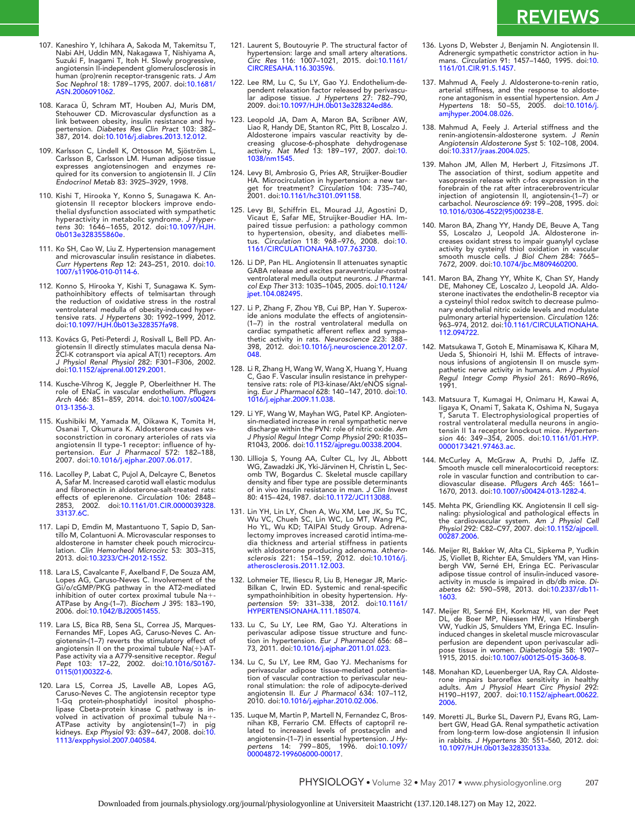- 107. Kaneshiro Y, Ichihara A, Sakoda M, Takemitsu T, Nabi AH, Uddin MN, Nakagawa T, Nishiyama A, Suzuki F, Inagami T, Itoh H. Slowly progressive, angiotensin II-independent glomerulosclerosis in human (pro)renin receptor-transgenic rats. *J Am Soc Nephrol* 18: 1789–1795, 2007. doi[:10.1681/](http://dx.doi.org/10.1681/ASN.2006091062) [ASN.2006091062.](http://dx.doi.org/10.1681/ASN.2006091062)
- 108. Karaca Ü, Schram MT, Houben AJ, Muris DM, Stehouwer CD. Microvascular dysfunction as a link between obesity, insulin resistance and hy-pertension. *Diabetes Res Clin Pract* 103: 382– 387, 2014. doi[:10.1016/j.diabres.2013.12.012.](http://dx.doi.org/10.1016/j.diabres.2013.12.012)
- 109. Karlsson C, Lindell K, Ottosson M, Sjöström L, Carlsson B, Carlsson LM. Human adipose tissue expresses angiotensinogen and enzymes required for its conversion to angiotensin II. *J Clin Endocrinol Metab* 83: 3925–3929, 1998.
- 110. Kishi T, Hirooka Y, Konno S, Sunagawa K. Angiotensin II receptor blockers improve endo-thelial dysfunction associated with sympathetic hyperactivity in metabolic syndrome. *J Hyper-tens* 30: 1646–1655, 2012. doi[:10.1097/HJH.](http://dx.doi.org/10.1097/HJH.0b013e328355860e) [0b013e328355860e.](http://dx.doi.org/10.1097/HJH.0b013e328355860e)
- 111. Ko SH, Cao W, Liu Z. Hypertension management and microvascular insulin resistance in diabetes. *Curr Hypertens Rep* 12: 243–251, 2010. doi[:10.](http://dx.doi.org/10.1007/s11906-010-0114-6) [1007/s11906-010-0114-6.](http://dx.doi.org/10.1007/s11906-010-0114-6)
- 112. Konno S, Hirooka Y, Kishi T, Sunagawa K. Sym-pathoinhibitory effects of telmisartan through the reduction of oxidative stress in the rostral ventrolateral medulla of obesity-induced hypertensive rats. *J Hypertens* 30: 1992–1999, 2012. doi[:10.1097/HJH.0b013e328357fa98.](http://dx.doi.org/10.1097/HJH.0b013e328357fa98)
- 113. Kovács G, Peti-Peterdi J, Rosivall L, Bell PD. Angiotensin II directly stimulates macula densa Na-<br>2Cl-K cotransport via apical AT(1) receptors. *Am*<br>*J Physiol Renal Physiol 282: F301–F306, 2002.*<br>doi[:10.1152/ajprenal.00129.2001.](http://dx.doi.org/10.1152/ajprenal.00129.2001)
- 114. Kusche-Vihrog K, Jeggle P, Oberleithner H. The role of ENaC in vascular endothelium. *Pflugers Arch* 466: 851–859, 2014. doi[:10.1007/s00424-](http://dx.doi.org/10.1007/s00424-013-1356-3) [013-1356-3.](http://dx.doi.org/10.1007/s00424-013-1356-3)
- 115. Kushibiki M, Yamada M, Oikawa K, Tomita H, Osanai T, Okumura K. Aldosterone causes vasoconstriction in coronary arterioles of rats via angiotensin II type-1 receptor: influence of hy-pertension. *Eur J Pharmacol* 572: 182–188, 2007. doi[:10.1016/j.ejphar.2007.06.017.](http://dx.doi.org/10.1016/j.ejphar.2007.06.017)
- 116. Lacolley P, Labat C, Pujol A, Delcayre C, Benetos A, Safar M. Increased carotid wall elastic modulus and fibronectin in aldosterone-salt-treated rats: effects of eplerenone. *Circulation* 106: 2848– 2853, 2002. doi[:10.1161/01.CIR.0000039328.](http://dx.doi.org/10.1161/01.CIR.0000039328.33137.6C) [33137.6C.](http://dx.doi.org/10.1161/01.CIR.0000039328.33137.6C)
- 117. Lapi D, Emdin M, Mastantuono T, Sapio D, Santillo M, Colantuoni A. Microvascular responses to aldosterone in hamster cheek pouch microcirculation. *Clin Hemorheol Microcirc* 53: 303–315, 2013. doi[:10.3233/CH-2012-1552.](http://dx.doi.org/10.3233/CH-2012-1552)
- 118. Lara LS, Cavalcante F, Axelband F, De Souza AM, Lopes AG, Caruso-Neves C. Involvement of the Gi/o/cGMP/PKG pathway in the AT2-mediated inhibition of outer cortex proximal tubule Na+-<br>ATPase by Ang-(1–7). *Biochem J* 395: 183–190,<br>2006. doi[:10.1042/BJ20051455.](http://dx.doi.org/10.1042/BJ20051455)
- 119. Lara LS, Bica RB, Sena SL, Correa JS, Marques-Fernandes MF, Lopes AG, Caruso-Neves C. An-giotensin-(1–7) reverts the stimulatory effect of angiotensin II on the proximal tubule Na(-)-AT-Pase activity via a A779-sensitive receptor. *Regul Pept* 103: 17–22, 2002. doi[:10.1016/S0167-](http://dx.doi.org/10.1016/S0167-0115(01)00322-6) [0115\(01\)00322-6.](http://dx.doi.org/10.1016/S0167-0115(01)00322-6)
- 120. Lara LS, Correa JS, Lavelle AB, Lopes AG,<br>Caruso-Neves C. The angiotensin receptor type<br>1-Gq protein-phosphatidyl inositol phospho-<br>lipase Cbeta-protein kinase C pathway is<br>volved in activation of proximal tubule Na+-ATPase activity by angiotensin(1–7) in pig kidneys. *Exp Physiol* 93: 639–647, 2008. doi[:10.](http://dx.doi.org/10.1113/expphysiol.2007.040584) [1113/expphysiol.2007.040584.](http://dx.doi.org/10.1113/expphysiol.2007.040584)
- 121. Laurent S, Boutouyrie P. The structural factor of hypertension: large and small artery alterations. *Circ Res* 116: 1007–1021, 2015. doi[:10.1161/](http://dx.doi.org/10.1161/CIRCRESAHA.116.303596) [CIRCRESAHA.116.303596.](http://dx.doi.org/10.1161/CIRCRESAHA.116.303596)
- 122. Lee RM, Lu C, Su LY, Gao YJ. Endothelium-dependent relaxation factor released by perivascu-lar adipose tissue. *J Hypertens* 27: 782–790, 2009. doi[:10.1097/HJH.0b013e328324ed86.](http://dx.doi.org/10.1097/HJH.0b013e328324ed86)
- 123. Leopold JA, Dam A, Maron BA, Scribner AW, Liao R, Handy DE, Stanton RC, Pitt B, Loscalzo J. Aldosterone impairs vascular reactivity by de-creasing glucose-6-phosphate dehydrogenase activity. *Nat Med* 13: 189–197, 2007. doi[:10.](http://dx.doi.org/10.1038/nm1545) [1038/nm1545.](http://dx.doi.org/10.1038/nm1545)
- 124. Levy BI, Ambrosio G, Pries AR, Struijker-Boudier HA. Microcirculation in hypertension: a new target for treatment? *Circulation* 104: 735–740, 2001. doi[:10.1161/hc3101.091158.](http://dx.doi.org/10.1161/hc3101.091158)
- 125. Levy BI, Schiffrin EL, Mourad JJ, Agostini D, Vicaut E, Safar ME, Struijker-Boudier HA. Impaired tissue perfusion: a pathology common<br>to hypertension, obesity, and diabetes melli-<br>tus*. Circulation* 118: 968–976, 2008. doi[:10.](http://dx.doi.org/10.1161/CIRCULATIONAHA.107.763730)<br>[1161/CIRCULATIONAHA.107.763730.](http://dx.doi.org/10.1161/CIRCULATIONAHA.107.763730)
- 126. Li DP, Pan HL. Angiotensin II attenuates synaptic GABA release and excites paraventricular-rostral ventrolateral medulla output neurons. *J Pharma-col Exp Ther* 313: 1035–1045, 2005. doi[:10.1124/](http://dx.doi.org/10.1124/jpet.104.082495) [jpet.104.082495.](http://dx.doi.org/10.1124/jpet.104.082495)
- 127. Li P, Zhang F, Zhou YB, Cui BP, Han Y. Superox-ide anions modulate the effects of angiotensin- (1–7) in the rostral ventrolateral medulla on cardiac sympathetic afferent reflex and sympathetic activity in rats. *Neuroscience* 223: 388– 398, 2012. doi[:10.1016/j.neuroscience.2012.07.](http://dx.doi.org/10.1016/j.neuroscience.2012.07.048) [048.](http://dx.doi.org/10.1016/j.neuroscience.2012.07.048)
- 128. Li R, Zhang H, Wang W, Wang X, Huang Y, Huang C, Gao F. Vascular insulin resistance in prehyper-tensive rats: role of PI3-kinase/Akt/eNOS signaling. *Eur J Pharmacol* 628: 140–147, 2010. doi[:10.](http://dx.doi.org/10.1016/j.ejphar.2009.11.038) [1016/j.ejphar.2009.11.038.](http://dx.doi.org/10.1016/j.ejphar.2009.11.038)
- 129. Li YF, Wang W, Mayhan WG, Patel KP. Angiotensin-mediated increase in renal sympathetic nerve discharge within the PVN: role of nitric oxide. *Am J Physiol Regul Integr Comp Physiol* 290: R1035– R1043, 2006. doi[:10.1152/ajpregu.00338.2004.](http://dx.doi.org/10.1152/ajpregu.00338.2004)
- 130. Lillioja S, Young AA, Culter CL, Ivy JL, Abbott WG, Zawadzki JK, Yki-Järvinen H, Christin L, Sec-omb TW, Bogardus C. Skeletal muscle capillary density and fiber type are possible determinants of in vivo insulin resistance in man. *J Clin Invest* 80: 415–424, 1987. doi[:10.1172/JCI113088.](http://dx.doi.org/10.1172/JCI113088)
- 131. Lin YH, Lin LY, Chen A, Wu XM, Lee JK, Su TC, Wu VC, Chueh SC, Lin WC, Lo MT, Wang PC, Ho YL, Wu KD; TAIPAI Study Group. Adrenalectomy improves increased carotid intima-media thickness and arterial stiffness in patients with aldosterone producing adenoma. *Athero-sclerosis* 221: 154–159, 2012. doi[:10.1016/j.](http://dx.doi.org/10.1016/j.atherosclerosis.2011.12.003) [atherosclerosis.2011.12.003.](http://dx.doi.org/10.1016/j.atherosclerosis.2011.12.003)
- 132. Lohmeier TE, Iliescu R, Liu B, Henegar JR, Maric-Bilkan C, Irwin ED. Systemic and renal-specific sympathoinhibition in obesity hypertension. *Hy-pertension* 59: 331–338, 2012. doi[:10.1161/](http://dx.doi.org/10.1161/HYPERTENSIONAHA.111.185074) [HYPERTENSIONAHA.111.185074.](http://dx.doi.org/10.1161/HYPERTENSIONAHA.111.185074)
- 133. Lu C, Su LY, Lee RM, Gao YJ. Alterations in perivascular adipose tissue structure and func-tion in hypertension. *Eur J Pharmacol* 656: 68– 73, 2011. doi[:10.1016/j.ejphar.2011.01.023.](http://dx.doi.org/10.1016/j.ejphar.2011.01.023)
- 134. Lu C, Su LY, Lee RM, Gao YJ. Mechanisms for perivascular adipose tissue-mediated potentiation of vascular contraction to perivascular neuronal stimulation: the role of adipocyte-derived angiotensin II. *Eur J Pharmacol* 634: 107–112, 2010. doi[:10.1016/j.ejphar.2010.02.006.](http://dx.doi.org/10.1016/j.ejphar.2010.02.006)
- 135. Luque M, Martin P, Martell N, Fernandez C, Brosnihan KB, Ferrario CM. Effects of captopril related to increased levels of prostacyclin and angiotensin-(1–7) in essential hypertension. *J Hy-pertens* 14: 799–805, 1996. doi[:10.1097/](http://dx.doi.org/10.1097/00004872-199606000-00017) [00004872-199606000-00017.](http://dx.doi.org/10.1097/00004872-199606000-00017)
- 136. Lyons D, Webster J, Benjamin N. Angiotensin II. Adrenergic sympathetic constrictor action in humans. *Circulation* 91: 1457–1460, 1995. doi[:10.](http://dx.doi.org/10.1161/01.CIR.91.5.1457) [1161/01.CIR.91.5.1457.](http://dx.doi.org/10.1161/01.CIR.91.5.1457)
- 137. Mahmud A, Feely J. Aldosterone-to-renin ratio, arterial stiffness, and the response to aldosterone antagonism in essential hypertension. *Am J Hypertens* 18: 50–55, 2005. doi[:10.1016/j.](http://dx.doi.org/10.1016/j.amjhyper.2004.08.026) [amjhyper.2004.08.026.](http://dx.doi.org/10.1016/j.amjhyper.2004.08.026)
- 138. Mahmud A, Feely J. Arterial stiffness and the renin-angiotensin-aldosterone system. *J Renin Angiotensin Aldosterone Syst* 5: 102–108, 2004. doi[:10.3317/jraas.2004.025.](http://dx.doi.org/10.3317/jraas.2004.025)
- 139. Mahon JM, Allen M, Herbert J, Fitzsimons JT. The association of thirst, sodium appetite and vasopressin release with c-fos expression in the forebrain of the rat after intracerebroventricular injection of angiotensin II, angiotensin-(1–7) or carbachol. *Neuroscience* 69: 199–208, 1995. doi: [10.1016/0306-4522\(95\)00238-E.](http://dx.doi.org/10.1016/0306-4522(95)00238-E)
- 140. Maron BA, Zhang YY, Handy DE, Beuve A, Tang SS, Loscalzo J, Leopold JA. Aldosterone increases oxidant stress to impair guanylyl cyclase activity by cysteinyl thiol oxidation in vascular smooth muscle cells. *J Biol Chem* 284: 7665– 7672, 2009. doi[:10.1074/jbc.M809460200.](http://dx.doi.org/10.1074/jbc.M809460200)
- 141. Maron BA, Zhang YY, White K, Chan SY, Handy DE, Mahoney CE, Loscalzo J, Leopold JA. Aldo-sterone inactivates the endothelin-B receptor via a cysteinyl thiol redox switch to decrease pulmonary endothelial nitric oxide levels and modulate pulmonary arterial hypertension. *Circulation* 126: 963–974, 2012. doi[:10.1161/CIRCULATIONAHA.](http://dx.doi.org/10.1161/CIRCULATIONAHA.112.094722) [112.094722.](http://dx.doi.org/10.1161/CIRCULATIONAHA.112.094722)
- 142. Matsukawa T, Gotoh E, Minamisawa K, Kihara M, Ueda S, Shionoiri H, Ishii M. Effects of intravenous infusions of angiotensin II on muscle sympathetic nerve activity in humans. *Am J Physiol Regul Integr Comp Physiol* 261: R690–R696, 1991.
- 143. Matsuura T, Kumagai H, Onimaru H, Kawai A, Iigaya K, Onami T, Sakata K, Oshima N, Sugaya T, Saruta T. Electrophysiological properties of rostral ventrolateral medulla neurons in angio-tensin II 1a receptor knockout mice. *Hyperten-sion* 46: 349–354, 2005. doi[:10.1161/01.HYP.](http://dx.doi.org/10.1161/01.HYP.0000173421.97463.ac) [0000173421.97463.ac.](http://dx.doi.org/10.1161/01.HYP.0000173421.97463.ac)
- 144. McCurley A, McGraw A, Pruthi D, Jaffe IZ. Smooth muscle cell mineralocorticoid receptors: role in vascular function and contribution to cardiovascular disease. *Pflugers Arch* 465: 1661– 1670, 2013. doi[:10.1007/s00424-013-1282-4.](http://dx.doi.org/10.1007/s00424-013-1282-4)
- 145. Mehta PK, Griendling KK. Angiotensin II cell signaling: physiological and pathological effects in the cardiovascular system. *Am J Physiol Cell Physiol* 292: C82–C97, 2007. doi[:10.1152/ajpcell.](http://dx.doi.org/10.1152/ajpcell.00287.2006) [00287.2006.](http://dx.doi.org/10.1152/ajpcell.00287.2006)
- 146. Meijer RI, Bakker W, Alta CL, Sipkema P, Yudkin JS, Viollet B, Richter EA, Smulders YM, van Hinsbergh VW, Serné EH, Eringa EC. Perivascular adipose tissue control of insulin-induced vasoreactivity in muscle is impaired in db/db mice. *Di-abetes* 62: 590–598, 2013. doi[:10.2337/db11-](http://dx.doi.org/10.2337/db11-1603) [1603.](http://dx.doi.org/10.2337/db11-1603)
- 147. Meijer RI, Serné EH, Korkmaz HI, van der Peet DL, de Boer MP, Niessen HW, van Hinsbergh VW, Yudkin JS, Smulders YM, Eringa EC. Insulininduced changes in skeletal muscle microvascular perfusion are dependent upon perivascular adi-<br>pose tissue in women. *Diabetologia* 58: 1907–<br>1915, 2015. doi[:10.1007/s00125-015-3606-8.](http://dx.doi.org/10.1007/s00125-015-3606-8)
- 148. Monahan KD, Leuenberger UA, Ray CA. Aldoste-rone impairs baroreflex sensitivity in healthy adults. *Am J Physiol Heart Circ Physiol* 292: H190–H197, 2007. doi[:10.1152/ajpheart.00622.](http://dx.doi.org/10.1152/ajpheart.00622.2006) [2006.](http://dx.doi.org/10.1152/ajpheart.00622.2006)
- 149. Moretti JL, Burke SL, Davern PJ, Evans RG, Lambert GW, Head GA. Renal sympathetic activation from long-term low-dose angiotensin II infusion in rabbits. *J Hypertens* 30: 551–560, 2012. doi: [10.1097/HJH.0b013e328350133a.](http://dx.doi.org/10.1097/HJH.0b013e328350133a)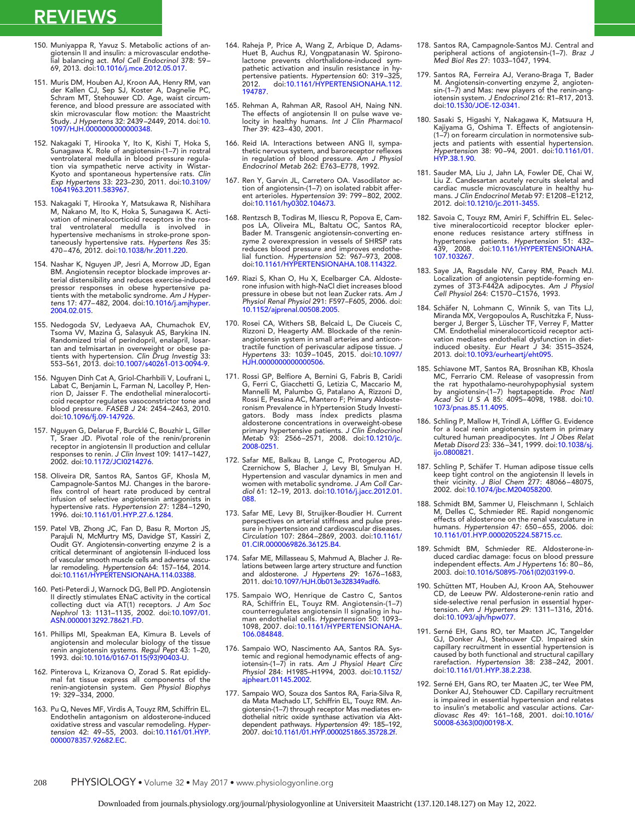- 150. Muniyappa R, Yavuz S. Metabolic actions of angiotensin II and insulin: a microvascular endothe-lial balancing act. *Mol Cell Endocrinol* 378: 59– 69, 2013. doi[:10.1016/j.mce.2012.05.017.](http://dx.doi.org/10.1016/j.mce.2012.05.017)
- 151. Muris DM, Houben AJ, Kroon AA, Henry RM, van der Kallen CJ, Sep SJ, Koster A, Dagnelie PC, Schram MT, Stehouwer CD. Age, waist circumference, and blood pressure are associated with skin microvascular flow motion: the Maastricht Study. *J Hypertens* 32: 2439–2449, 2014. doi[:10.](http://dx.doi.org/10.1097/HJH.0000000000000348) [1097/HJH.0000000000000348.](http://dx.doi.org/10.1097/HJH.0000000000000348)
- 152. Nakagaki T, Hirooka Y, Ito K, Kishi T, Hoka S, Sunagawa K. Role of angiotensin-(1–7) in rostral ventrolateral medulla in blood pressure regulation via sympathetic nerve activity in Wistar-Kyoto and spontaneous hypertensive rats. *Clin Exp Hypertens* 33: 223–230, 2011. doi[:10.3109/](http://dx.doi.org/10.3109/10641963.2011.583967) [10641963.2011.583967.](http://dx.doi.org/10.3109/10641963.2011.583967)
- 153. Nakagaki T, Hirooka Y, Matsukawa R, Nishihara M, Nakano M, Ito K, Hoka S, Sunagawa K. Activation of mineralocorticoid receptors in the rostral ventrolateral medulla is involved in hypertensive mechanisms in stroke-prone spontaneously hypertensive rats. *Hypertens Res* 35: 470–476, 2012. doi[:10.1038/hr.2011.220.](http://dx.doi.org/10.1038/hr.2011.220)
- 154. Nashar K, Nguyen JP, Jesri A, Morrow JD, Egan BM. Angiotensin receptor blockade improves arterial distensibility and reduces exercise-induced pressor responses in obese hypertensive patients with the metabolic syndrome. *Am J Hypertens* 17: 477–482, 2004. doi[:10.1016/j.amjhyper.](http://dx.doi.org/10.1016/j.amjhyper.2004.02.015) [2004.02.015.](http://dx.doi.org/10.1016/j.amjhyper.2004.02.015)
- 155. Nedogoda SV, Ledyaeva AA, Chumachok EV, Tsoma VV, Mazina G, Salasyuk AS, Barykina IN. Randomized trial of perindopril, enalapril, losar-tan and telmisartan in overweight or obese pa-tients with hypertension. *Clin Drug Investig* 33: 553–561, 2013. doi[:10.1007/s40261-013-0094-9.](http://dx.doi.org/10.1007/s40261-013-0094-9)
- 156. Nguyen Dinh Cat A, Griol-Charhbili V, Loufrani L, Labat C, Benjamin L, Farman N, Lacolley P, Henrion D, Jaisser F. The endothelial mineralocorticoid receptor regulates vasoconstrictor tone and blood pressure. *FASEB J* 24: 2454–2463, 2010. doi[:10.1096/fj.09-147926.](http://dx.doi.org/10.1096/fj.09-147926)
- 157. Nguyen G, Delarue F, Burcklé C, Bouzhir L, Giller T, Sraer JD. Pivotal role of the renin/prorenin receptor in angiotensin II production and cellular responses to renin. *J Clin Invest* 109: 1417–1427, 2002. doi[:10.1172/JCI0214276.](http://dx.doi.org/10.1172/JCI0214276)
- 158. Oliveira DR, Santos RA, Santos GF, Khosla M, Campagnole-Santos MJ. Changes in the baroreflex control of heart rate produced by central infusion of selective angiotensin antagonists in hypertensive rats. *Hypertension* 27: 1284–1290, 1996. doi[:10.1161/01.HYP.27.6.1284.](http://dx.doi.org/10.1161/01.HYP.27.6.1284)
- 159. Patel VB, Zhong JC, Fan D, Basu R, Morton JS, Parajuli N, McMurtry MS, Davidge ST, Kassiri Z, Oudit GY. Angiotensin-converting enzyme 2 is a critical determinant of angiotensin II-induced loss of vascular smooth muscle cells and adverse vascu-<br>lar remodeling. *Hypertension 6*4: 157–164, 2014.<br>doi[:10.1161/HYPERTENSIONAHA.114.03388.](http://dx.doi.org/10.1161/HYPERTENSIONAHA.114.03388)
- 160. Peti-Peterdi J, Warnock DG, Bell PD. Angiotensin II directly stimulates ENaC activity in the cortical collecting duct via AT(1) receptors. *J Am Soc Nephrol* 13: 1131–1135, 2002. doi[:10.1097/01.](http://dx.doi.org/10.1097/01.ASN.0000013292.78621.FD) [ASN.0000013292.78621.FD.](http://dx.doi.org/10.1097/01.ASN.0000013292.78621.FD)
- 161. Phillips MI, Speakman EA, Kimura B. Levels of angiotensin and molecular biology of the tissue renin angiotensin systems. *Regul Pept* 43: 1–20, 1993. doi[:10.1016/0167-0115\(93\)90403-U.](http://dx.doi.org/10.1016/0167-0115(93)90403-U)
- 162. Pinterova L, Krizanova O, Zorad S. Rat epididy-mal fat tissue express all components of the renin-angiotensin system. *Gen Physiol Biophys* 19: 329–334, 2000.
- 163. Pu Q, Neves MF, Virdis A, Touyz RM, Schiffrin EL. Endothelin antagonism on aldosterone-induced oxidative stress and vascular remodeling. *Hypertension* 42: 49–55, 2003. doi[:10.1161/01.HYP.](http://dx.doi.org/10.1161/01.HYP.0000078357.92682.EC) [0000078357.92682.EC.](http://dx.doi.org/10.1161/01.HYP.0000078357.92682.EC)
- 164. Raheja P, Price A, Wang Z, Arbique D, Adams-Huet B, Auchus RJ, Vongpatanasin W. Spironolactone prevents chlorthalidone-induced sympathetic activation and insulin resistance in hypertensive patients. *Hypertension* 60: 319–325, 2012. doi[:10.1161/HYPERTENSIONAHA.112.](http://dx.doi.org/10.1161/HYPERTENSIONAHA.112.194787) [194787.](http://dx.doi.org/10.1161/HYPERTENSIONAHA.112.194787)
- 165. Rehman A, Rahman AR, Rasool AH, Naing NN. The effects of angiotensin II on pulse wave ve-locity in healthy humans. *Int J Clin Pharmacol Ther* 39: 423–430, 2001.
- 166. Reid IA. Interactions between ANG II, sympathetic nervous system, and baroreceptor reflexes in regulation of blood pressure. *Am J Physiol Endocrinol Metab* 262: E763–E778, 1992.
- 167. Ren Y, Garvin JL, Carretero OA. Vasodilator action of angiotensin-(1–7) on isolated rabbit afferent arterioles. *Hypertension* 39: 799–802, 2002. doi[:10.1161/hy0302.104673.](http://dx.doi.org/10.1161/hy0302.104673)
- 168. Rentzsch B, Todiras M, Iliescu R, Popova E, Cam-pos LA, Oliveira ML, Baltatu OC, Santos RA, Bader M. Transgenic angiotensin-converting enzyme 2 overexpression in vessels of SHRSP rats reduces blood pressure and improves endothe-lial function. *Hypertension* 52: 967–973, 2008. doi[:10.1161/HYPERTENSIONAHA.108.114322.](http://dx.doi.org/10.1161/HYPERTENSIONAHA.108.114322)
- 169. Riazi S, Khan O, Hu X, Ecelbarger CA. Aldosterone infusion with high-NaCl diet increases blood pressure in obese but not lean Zucker rats. *Am J Physiol Renal Physiol* 291: F597–F605, 2006. doi: [10.1152/ajprenal.00508.2005.](http://dx.doi.org/10.1152/ajprenal.00508.2005)
- 170. Rosei CA, Withers SB, Belcaid L, De Ciuceis C, Rizzoni D, Heagerty AM. Blockade of the reninangiotensin system in small arteries and anticontractile function of perivascular adipose tissue. *J Hypertens* 33: 1039–1045, 2015. doi[:10.1097/](http://dx.doi.org/10.1097/HJH.0000000000000506) [HJH.0000000000000506.](http://dx.doi.org/10.1097/HJH.0000000000000506)
- 171. Rossi GP, Belfiore A, Bernini G, Fabris B, Caridi G, Ferri C, Giacchetti G, Letizia C, Maccario M, Mannelli M, Palumbo G, Patalano A, Rizzoni D, Rossi E, Pessina AC, Mantero F; Primary Aldosteronism Prevalence in hYpertension Study Investi-gators. Body mass index predicts plasma aldosterone concentrations in overweight-obese primary hypertensive patients. *J Clin Endocrinol Metab* 93: 2566–2571, 2008. doi[:10.1210/jc.](http://dx.doi.org/10.1210/jc.2008-0251) [2008-0251.](http://dx.doi.org/10.1210/jc.2008-0251)
- 172. Safar ME, Balkau B, Lange C, Protogerou AD, Czernichow S, Blacher J, Levy BI, Smulyan H. Hypertension and vascular dynamics in men and women with metabolic syndrome. *J Am Coll Cardiol* 61: 12–19, 2013. doi[:10.1016/j.jacc.2012.01.](http://dx.doi.org/10.1016/j.jacc.2012.01.088) [088.](http://dx.doi.org/10.1016/j.jacc.2012.01.088)
- 173. Safar ME, Levy BI, Struijker-Boudier H. Current perspectives on arterial stiffness and pulse pres-sure in hypertension and cardiovascular diseases. *Circulation* 107: 2864–2869, 2003. doi[:10.1161/](http://dx.doi.org/10.1161/01.CIR.0000069826.36125.B4) [01.CIR.0000069826.36125.B4.](http://dx.doi.org/10.1161/01.CIR.0000069826.36125.B4)
- 174. Safar ME, Millasseau S, Mahmud A, Blacher J. Relations between large artery structure and function and aldosterone. *J Hypertens* 29: 1676–1683, 2011. doi[:10.1097/HJH.0b013e328349adf6.](http://dx.doi.org/10.1097/HJH.0b013e328349adf6)
- 175. Sampaio WO, Henrique de Castro C, Santos<br>RA, Schiffrin EL, Touyz RM. Angiotensin-(1–7)<br>counterregulates angiotensin II signaling in hu-<br>man endothelial cells. Hypertension 50: 1093-<br>1098, 2007. doi:10.1161/HYPERTENSIO [106.084848.](http://dx.doi.org/10.1161/HYPERTENSIONAHA.106.084848)
- 176. Sampaio WO, Nascimento AA, Santos RA. Systemic and regional hemodynamic effects of angiotensin-(1–7) in rats. *Am J Physiol Heart Circ Physiol* 284: H1985–H1994, 2003. doi[:10.1152/](http://dx.doi.org/10.1152/ajpheart.01145.2002) [ajpheart.01145.2002.](http://dx.doi.org/10.1152/ajpheart.01145.2002)
- 177. Sampaio WO, Souza dos Santos RA, Faria-Silva R, da Mata Machado LT, Schiffrin EL, Touyz RM. Angiotensin-(1–7) through receptor Mas mediates endothelial nitric oxide synthase activation via Aktdependent pathways. *Hypertension* 49: 185–192, 2007. doi[:10.1161/01.HYP.0000251865.35728.2f.](http://dx.doi.org/10.1161/01.HYP.0000251865.35728.2f)
- 178. Santos RA, Campagnole-Santos MJ. Central and peripheral actions of angiotensin-(1–7). *Braz J Med Biol Res* 27: 1033–1047, 1994.
- 179. Santos RA, Ferreira AJ, Verano-Braga T, Bader M. Angiotensin-converting enzyme 2, angiotensin-(1–7) and Mas: new players of the renin-angiotensin system. *J Endocrinol* 216: R1–R17, 2013. doi[:10.1530/JOE-12-0341.](http://dx.doi.org/10.1530/JOE-12-0341)
- 180. Sasaki S, Higashi Y, Nakagawa K, Matsuura H, Kajiyama G, Oshima T. Effects of angiotensin- (1–7) on forearm circulation in normotensive subjects and patients with essential hypertension. *Hypertension* 38: 90–94, 2001. doi[:10.1161/01.](http://dx.doi.org/10.1161/01.HYP.38.1.90) [HYP.38.1.90.](http://dx.doi.org/10.1161/01.HYP.38.1.90)
- 181. Sauder MA, Liu J, Jahn LA, Fowler DE, Chai W, Liu Z. Candesartan acutely recruits skeletal and cardiac muscle microvasculature in healthy humans. *J Clin Endocrinol Metab* 97: E1208–E1212, 2012. doi[:10.1210/jc.2011-3455.](http://dx.doi.org/10.1210/jc.2011-3455)
- 182. Savoia C, Touyz RM, Amiri F, Schiffrin EL. Selective mineralocorticoid receptor blocker epler-enone reduces resistance artery stiffness in hypertensive patients. *Hypertension* 51: 432– 439, 2008. doi[:10.1161/HYPERTENSIONAHA.](http://dx.doi.org/10.1161/HYPERTENSIONAHA.107.103267) [107.103267.](http://dx.doi.org/10.1161/HYPERTENSIONAHA.107.103267)
- 183. Saye JA, Ragsdale NV, Carey RM, Peach MJ. Localization of angiotensin peptide-forming en-zymes of 3T3-F442A adipocytes. *Am J Physiol Cell Physiol* 264: C1570–C1576, 1993.
- 184. Schäfer N, Lohmann C, Winnik S, van Tits LJ, Miranda MX, Vergopoulos A, Ruschitzka F, Nuss-berger J, Berger S, Lüscher TF, Verrey F, Matter CM. Endothelial mineralocorticoid receptor activation mediates endothelial dysfunction in dietinduced obesity. *Eur Heart J* 34: 3515–3524, 2013. doi[:10.1093/eurheartj/eht095.](http://dx.doi.org/10.1093/eurheartj/eht095)
- 185. Schiavone MT, Santos RA, Brosnihan KB, Khosla MC, Ferrario CM. Release of vasopressin from the rat hypothalamo-neurohypophysial system by angiotensin-(1–7) heptapeptide. *Proc Natl Acad Sci U S A* 85: 4095–4098, 1988. doi[:10.](http://dx.doi.org/10.1073/pnas.85.11.4095) [1073/pnas.85.11.4095.](http://dx.doi.org/10.1073/pnas.85.11.4095)
- 186. Schling P, Mallow H, Trindl A, Löffler G. Evidence for a local renin angiotensin system in primary cultured human preadipocytes. *Int J Obes Relat Metab Disord* 23: 336–341, 1999. doi[:10.1038/sj.](http://dx.doi.org/10.1038/sj.ijo.0800821) [ijo.0800821.](http://dx.doi.org/10.1038/sj.ijo.0800821)
- 187. Schling P, Schäfer T. Human adipose tissue cells keep tight control on the angiotensin II levels in their vicinity. *J Biol Chem* 277: 48066–48075, 2002. doi[:10.1074/jbc.M204058200.](http://dx.doi.org/10.1074/jbc.M204058200)
- 188. Schmidt BM, Sammer U, Fleischmann I, Schlaich M, Delles C, Schmieder RE. Rapid nongenomic effects of aldosterone on the renal vasculature in humans. *Hypertension* 47: 650–655, 2006. doi: [10.1161/01.HYP.0000205224.58715.cc.](http://dx.doi.org/10.1161/01.HYP.0000205224.58715.cc)
- 189. Schmidt BM, Schmieder RE. Aldosterone-in-duced cardiac damage: focus on blood pressure independent effects. *Am J Hypertens* 16: 80–86, 2003. doi[:10.1016/S0895-7061\(02\)03199-0.](http://dx.doi.org/10.1016/S0895-7061(02)03199-0)
- 190. Schütten MT, Houben AJ, Kroon AA, Stehouwer CD, de Leeuw PW. Aldosterone-renin ratio and side-selective renal perfusion in essential hypertension. *Am J Hypertens* 29: 1311–1316, 2016. doi[:10.1093/ajh/hpw077.](http://dx.doi.org/10.1093/ajh/hpw077)
- 191. Serné EH, Gans RO, ter Maaten JC, Tangelder GJ, Donker AJ, Stehouwer CD. Impaired skin capillary recruitment in essential hypertension is caused by both functional and structural capillary rarefaction. *Hypertension* 38: 238–242, 2001. doi[:10.1161/01.HYP.38.2.238.](http://dx.doi.org/10.1161/01.HYP.38.2.238)
- 192. Serné EH, Gans RO, ter Maaten JC, ter Wee PM, Donker AJ, Stehouwer CD. Capillary recruitment is impaired in essential hypertension and relates to insulin's metabolic and vascular actions. *Car-diovasc Res* 49: 161–168, 2001. doi[:10.1016/](http://dx.doi.org/10.1016/S0008-6363(00)00198-X) [S0008-6363\(00\)00198-X.](http://dx.doi.org/10.1016/S0008-6363(00)00198-X)